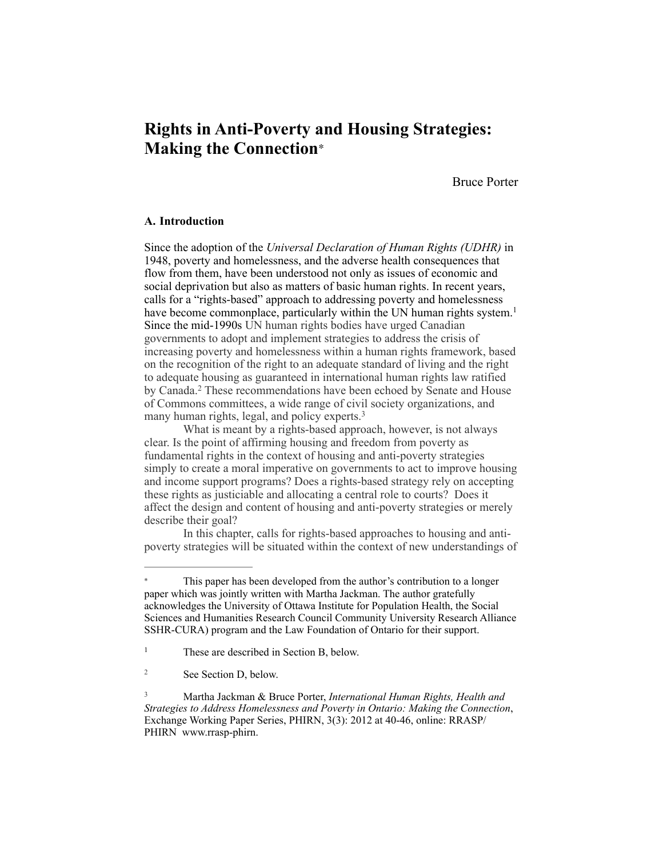# **Rights in Anti-Poverty and Housing Strategies: Making the Connection**<sup>∗</sup>

Bruce Porter

# **A. Introduction**

Since the adoption of the *Universal Declaration of Human Rights (UDHR)* in 1948, poverty and homelessness, and the adverse health consequences that flow from them, have been understood not only as issues of economic and social deprivation but also as matters of basic human rights. In recent years, calls for a "rights-based" approach to addressing poverty and homelessness have become commonplace, particularly within the UN human rights system.<sup>1</sup> Since the mid-1990s UN human rights bodies have urged Canadian governments to adopt and implement strategies to address the crisis of increasing poverty and homelessness within a human rights framework, based on the recognition of the right to an adequate standard of living and the right to adequate housing as guaranteed in international human rights law ratified by Canada.<sup>2</sup> These recommendations have been echoed by Senate and House of Commons committees, a wide range of civil society organizations, and many human rights, legal, and policy experts.<sup>3</sup>

 What is meant by a rights-based approach, however, is not always clear. Is the point of affirming housing and freedom from poverty as fundamental rights in the context of housing and anti-poverty strategies simply to create a moral imperative on governments to act to improve housing and income support programs? Does a rights-based strategy rely on accepting these rights as justiciable and allocating a central role to courts? Does it affect the design and content of housing and anti-poverty strategies or merely describe their goal?

In this chapter, calls for rights-based approaches to housing and antipoverty strategies will be situated within the context of new understandings of

This paper has been developed from the author's contribution to a longer paper which was jointly written with Martha Jackman. The author gratefully acknowledges the University of Ottawa Institute for Population Health, the Social Sciences and Humanities Research Council Community University Research Alliance SSHR-CURA) program and the Law Foundation of Ontario for their support.

<sup>&</sup>lt;sup>1</sup> These are described in Section B, below.

<sup>&</sup>lt;sup>2</sup> See Section D, below.

Martha Jackman & Bruce Porter, *International Human Rights, Health and* <sup>3</sup> *[Strategies to Address Homelessness and Poverty in Ontario: Making the Connection](http://www.rrasp-phirn.ca/index.php?option=com_content&view=article&id=489%253ainternational-human-rights-health-and-strategies-to-address-homelessness-and-poverty-in-ontario-making-the-connection-&catid=18%253aworking-paper-series-eexchange&itemid=49&lang=en)*, Exchange Working Paper Series, PHIRN, 3(3): 2012 at 40-46, online: RRASP/ PHIRN [www.rrasp-p](http://www.rrasp-p)hirn.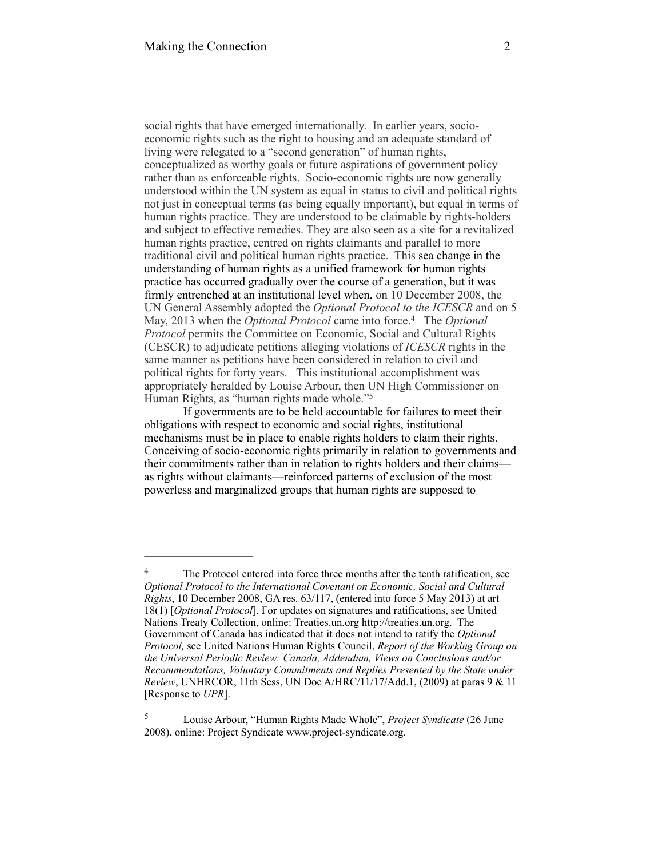social rights that have emerged internationally. In earlier years, socioeconomic rights such as the right to housing and an adequate standard of living were relegated to a "second generation" of human rights, conceptualized as worthy goals or future aspirations of government policy rather than as enforceable rights. Socio-economic rights are now generally understood within the UN system as equal in status to civil and political rights not just in conceptual terms (as being equally important), but equal in terms of human rights practice. They are understood to be claimable by rights-holders and subject to effective remedies. They are also seen as a site for a revitalized human rights practice, centred on rights claimants and parallel to more traditional civil and political human rights practice. This sea change in the understanding of human rights as a unified framework for human rights practice has occurred gradually over the course of a generation, but it was firmly entrenched at an institutional level when, on 10 December 2008, the UN General Assembly adopted the *Optional Protocol to the ICESCR* and on 5 May, 2013 when the *Optional Protocol* came into force.<sup>4</sup> The *Optional Protocol* permits the Committee on Economic, Social and Cultural Rights (CESCR) to adjudicate petitions alleging violations of *ICESCR* rights in the same manner as petitions have been considered in relation to civil and political rights for forty years. This institutional accomplishment was appropriately heralded by Louise Arbour, then UN High Commissioner on Human Rights, as "human rights made whole."5

If governments are to be held accountable for failures to meet their obligations with respect to economic and social rights, institutional mechanisms must be in place to enable rights holders to claim their rights. Conceiving of socio-economic rights primarily in relation to governments and their commitments rather than in relation to rights holders and their claims as rights without claimants—reinforced patterns of exclusion of the most powerless and marginalized groups that human rights are supposed to

The Protocol entered into force three months after the tenth ratification, see *Optional Protocol to the International Covenant on Economic, Social and Cultural Rights*, 10 December 2008, GA res. 63/117, (entered into force 5 May 2013) at art 18(1) [*Optional Protocol*]. For updates on signatures and ratifications, see United Nations Treaty Collection, online: Treaties.un.org http://treaties.un.org. The Government of Canada has indicated that it does not intend to ratify the *Optional Protocol,* see United Nations Human Rights Council, *Report of the Working Group on the Universal Periodic Review: Canada, Addendum, Views on Conclusions and/or Recommendations, Voluntary Commitments and Replies Presented by the State under Review*, UNHRCOR, 11th Sess, UN Doc A/HRC/11/17/Add.1, (2009) at paras 9 & 11 [Response to *UPR*].

Louise Arbour, "Human Rights Made Whole", *Project Syndicate* (26 June 5 2008), online: Project Syndicate www.project-syndicate.org.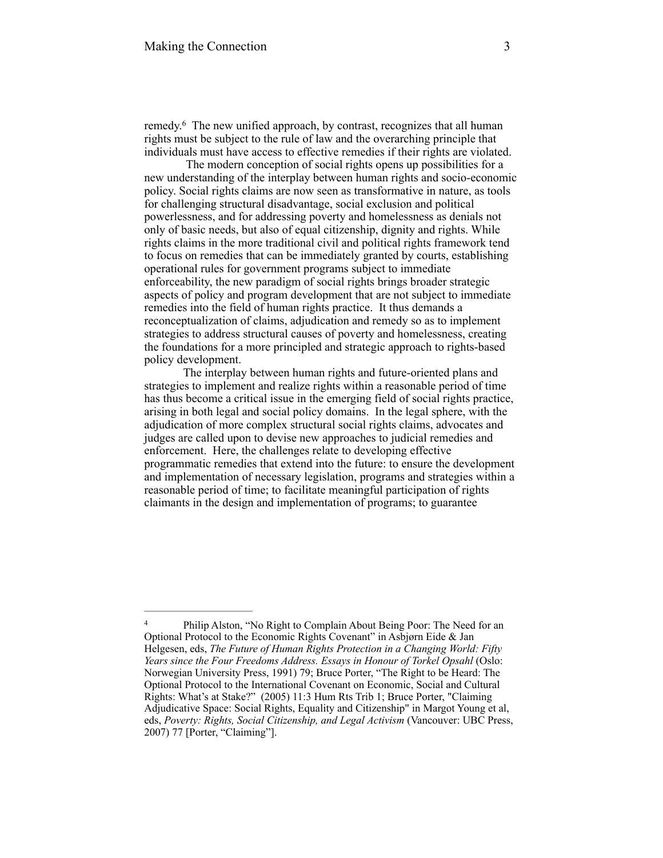remedy.<sup>6</sup> The new unified approach, by contrast, recognizes that all human rights must be subject to the rule of law and the overarching principle that individuals must have access to effective remedies if their rights are violated.

 The modern conception of social rights opens up possibilities for a new understanding of the interplay between human rights and socio-economic policy. Social rights claims are now seen as transformative in nature, as tools for challenging structural disadvantage, social exclusion and political powerlessness, and for addressing poverty and homelessness as denials not only of basic needs, but also of equal citizenship, dignity and rights. While rights claims in the more traditional civil and political rights framework tend to focus on remedies that can be immediately granted by courts, establishing operational rules for government programs subject to immediate enforceability, the new paradigm of social rights brings broader strategic aspects of policy and program development that are not subject to immediate remedies into the field of human rights practice. It thus demands a reconceptualization of claims, adjudication and remedy so as to implement strategies to address structural causes of poverty and homelessness, creating the foundations for a more principled and strategic approach to rights-based policy development.

The interplay between human rights and future-oriented plans and strategies to implement and realize rights within a reasonable period of time has thus become a critical issue in the emerging field of social rights practice, arising in both legal and social policy domains. In the legal sphere, with the adjudication of more complex structural social rights claims, advocates and judges are called upon to devise new approaches to judicial remedies and enforcement. Here, the challenges relate to developing effective programmatic remedies that extend into the future: to ensure the development and implementation of necessary legislation, programs and strategies within a reasonable period of time; to facilitate meaningful participation of rights claimants in the design and implementation of programs; to guarantee

<sup>&</sup>lt;sup>4</sup> Philip Alston, "No Right to Complain About Being Poor: The Need for an Optional Protocol to the Economic Rights Covenant" in Asbjørn Eide & Jan Helgesen, eds, *The Future of Human Rights Protection in a Changing World: Fifty Years since the Four Freedoms Address. Essays in Honour of Torkel Opsahl* (Oslo: Norwegian University Press, 1991) 79; Bruce Porter, "The Right to be Heard: The Optional Protocol to the International Covenant on Economic, Social and Cultural Rights: What's at Stake?" (2005) 11:3 Hum Rts Trib 1; Bruce Porter, "Claiming Adjudicative Space: Social Rights, Equality and Citizenship" in Margot Young et al, eds, *Poverty: Rights, Social Citizenship, and Legal Activism* (Vancouver: UBC Press, 2007) 77 [Porter, "Claiming"].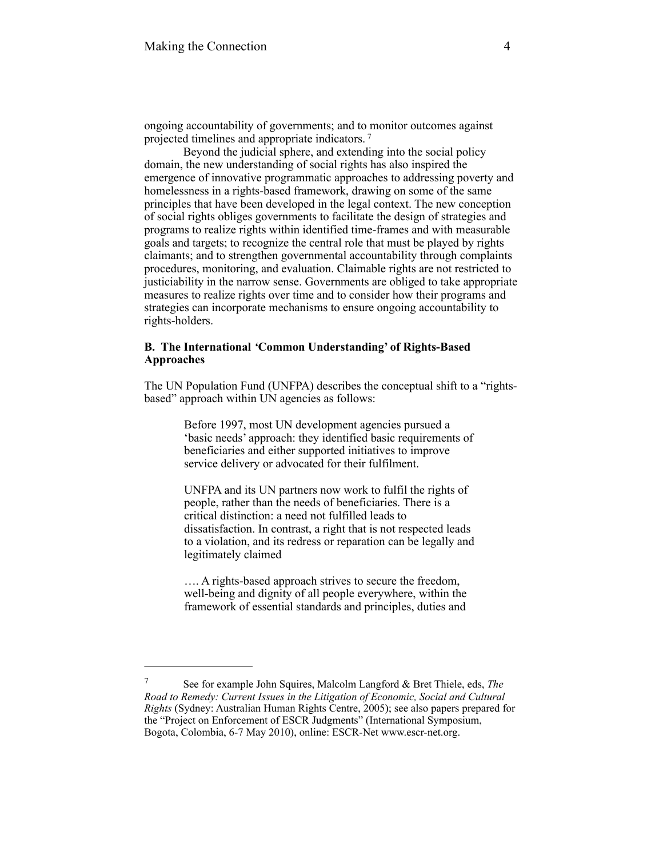ongoing accountability of governments; and to monitor outcomes against projected timelines and appropriate indicators. <sup>7</sup>

Beyond the judicial sphere, and extending into the social policy domain, the new understanding of social rights has also inspired the emergence of innovative programmatic approaches to addressing poverty and homelessness in a rights-based framework, drawing on some of the same principles that have been developed in the legal context. The new conception of social rights obliges governments to facilitate the design of strategies and programs to realize rights within identified time-frames and with measurable goals and targets; to recognize the central role that must be played by rights claimants; and to strengthen governmental accountability through complaints procedures, monitoring, and evaluation. Claimable rights are not restricted to justiciability in the narrow sense. Governments are obliged to take appropriate measures to realize rights over time and to consider how their programs and strategies can incorporate mechanisms to ensure ongoing accountability to rights-holders.

# **B. The International** *'***Common Understanding' of Rights-Based Approaches**

The UN Population Fund (UNFPA) describes the conceptual shift to a "rightsbased" approach within UN agencies as follows:

> Before 1997, most UN development agencies pursued a 'basic needs' approach: they identified basic requirements of beneficiaries and either supported initiatives to improve service delivery or advocated for their fulfilment.

> UNFPA and its UN partners now work to fulfil the rights of people, rather than the needs of beneficiaries. There is a critical distinction: a need not fulfilled leads to dissatisfaction. In contrast, a right that is not respected leads to a violation, and its redress or reparation can be legally and legitimately claimed

…. A rights-based approach strives to secure the freedom, well-being and dignity of all people everywhere, within the framework of essential standards and principles, duties and

See for example John Squires, Malcolm Langford & Bret Thiele, eds, *The* <sup>7</sup> *Road to Remedy: Current Issues in the Litigation of Economic, Social and Cultural Rights* (Sydney: Australian Human Rights Centre, 2005); see also papers prepared for the "Project on Enforcement of ESCR Judgments" (International Symposium, Bogota, Colombia, 6-7 May 2010), online: ESCR-Net www.escr-net.org.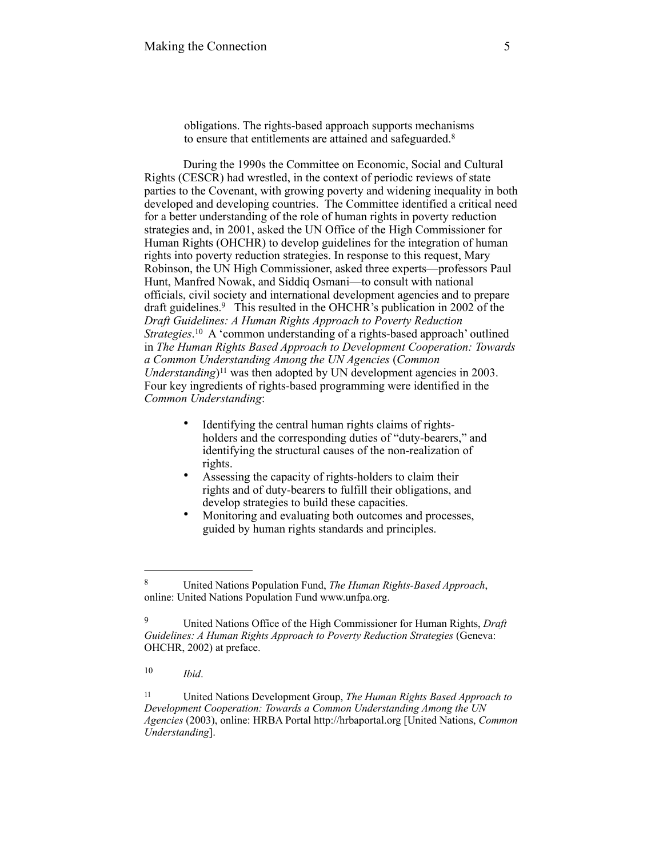obligations. The rights-based approach supports mechanisms to ensure that entitlements are attained and safeguarded.<sup>8</sup>

 During the 1990s the Committee on Economic, Social and Cultural Rights (CESCR) had wrestled, in the context of periodic reviews of state parties to the Covenant, with growing poverty and widening inequality in both developed and developing countries. The Committee identified a critical need for a better understanding of the role of human rights in poverty reduction strategies and, in 2001, asked the UN Office of the High Commissioner for Human Rights (OHCHR) to develop guidelines for the integration of human rights into poverty reduction strategies. In response to this request, Mary Robinson, the UN High Commissioner, asked three experts—professors Paul Hunt, Manfred Nowak, and Siddiq Osmani—to consult with national officials, civil society and international development agencies and to prepare draft guidelines.<sup>9</sup> This resulted in the OHCHR's publication in 2002 of the *Draft Guidelines: A Human Rights Approach to Poverty Reduction Strategies*.<sup>10</sup> A 'common understanding of a rights-based approach' outlined in *The Human Rights Based Approach to Development Cooperation: Towards a Common Understanding Among the UN Agencies* (*Common Understanding* $]$ <sup>11</sup> was then adopted by UN development agencies in 2003. Four key ingredients of rights-based programming were identified in the *Common Understanding*:

- Identifying the central human rights claims of rightsholders and the corresponding duties of "duty-bearers," and identifying the structural causes of the non-realization of rights.
- Assessing the capacity of rights-holders to claim their rights and of duty-bearers to fulfill their obligations, and develop strategies to build these capacities.
- Monitoring and evaluating both outcomes and processes, guided by human rights standards and principles.

United Nations Population Fund, *The Human Rights-Based Approach*, 8 online: United Nations Population Fund www.unfpa.org.

United Nations Office of the High Commissioner for Human Rights, *Draft* <sup>9</sup> *Guidelines: A Human Rights Approach to Poverty Reduction Strategies* (Geneva: OHCHR, 2002) at preface.

*Ibid*. 10

United Nations Development Group, *The Human Rights Based Approach to* <sup>11</sup> *Development Cooperation: Towards a Common Understanding Among the UN Agencies* (2003), online: HRBA Portal [http://hrbaportal.org](http://hrbaportal.org/) [United Nations, *Common Understanding*].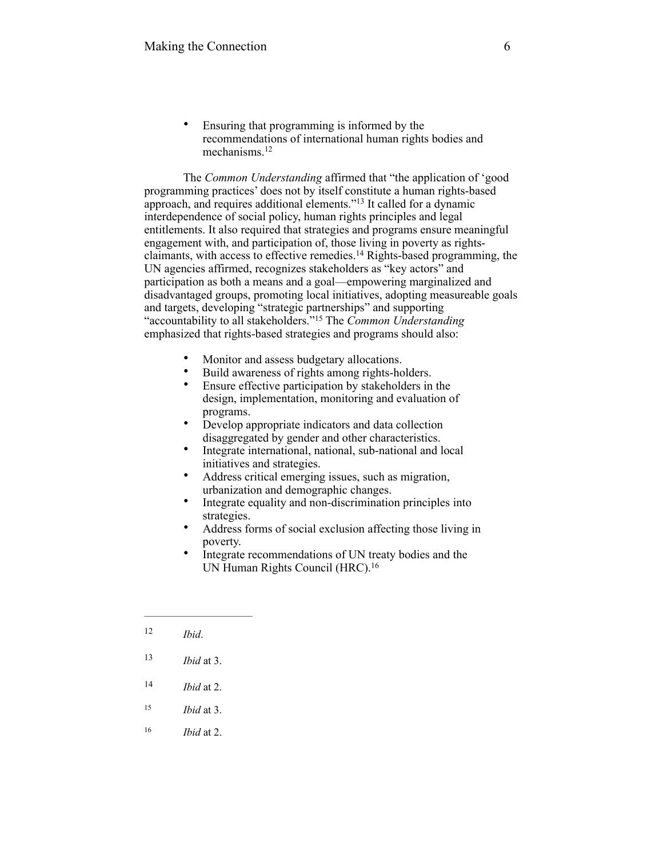• Ensuring that programming is informed by the recommendations of international human rights bodies and mechanisms.12

The *Common Understanding* affirmed that "the application of 'good programming practices' does not by itself constitute a human rights-based approach, and requires additional elements."<sup>13</sup> It called for a dynamic interdependence of social policy, human rights principles and legal entitlements. It also required that strategies and programs ensure meaningful engagement with, and participation of, those living in poverty as rightsclaimants, with access to effective remedies.<sup>14</sup> Rights-based programming, the UN agencies affirmed, recognizes stakeholders as "key actors" and participation as both a means and a goal—empowering marginalized and disadvantaged groups, promoting local initiatives, adopting measureable goals and targets, developing "strategic partnerships" and supporting "accountability to all stakeholders." The *Common Understanding* <sup>15</sup> emphasized that rights-based strategies and programs should also:

- Monitor and assess budgetary allocations.
- Build awareness of rights among rights-holders.<br>• Ensure effective participation by stakeholders in
- Ensure effective participation by stakeholders in the design, implementation, monitoring and evaluation of programs.
- Develop appropriate indicators and data collection disaggregated by gender and other characteristics.
- Integrate international, national, sub-national and local initiatives and strategies.
- Address critical emerging issues, such as migration, urbanization and demographic changes.
- Integrate equality and non-discrimination principles into strategies.
- Address forms of social exclusion affecting those living in poverty.
- Integrate recommendations of UN treaty bodies and the UN Human Rights Council (HRC).16

- $14$  *Ibid* at 2.
- $15$  *Ibid* at 3.
- 16 *Ibid* at 2.

 $12$  *Ibid.* 

<sup>13</sup> *Ibid* at 3.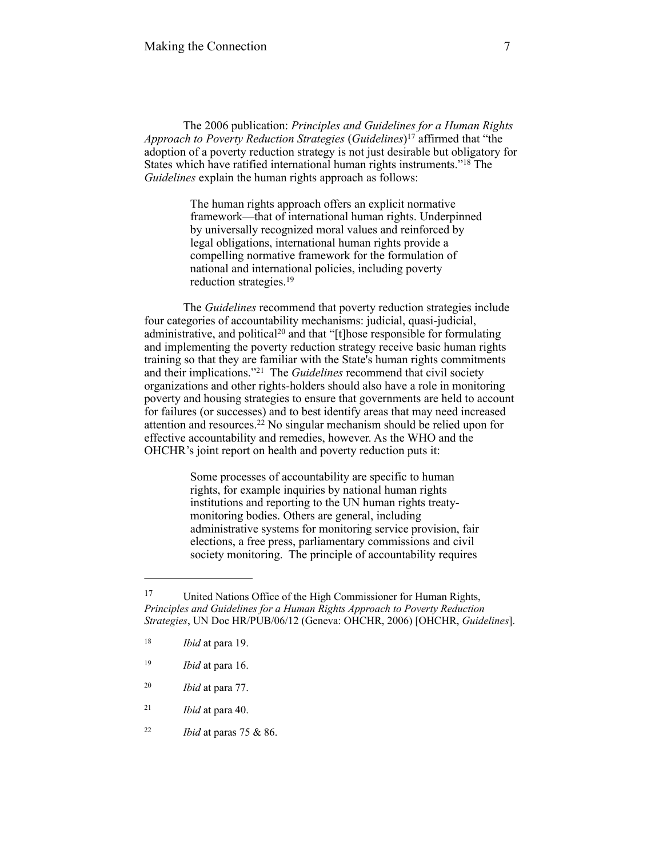The 2006 publication: *Principles and Guidelines for a Human Rights Approach to Poverty Reduction Strategies* (*Guidelines*)<sup>17</sup> affirmed that "the adoption of a poverty reduction strategy is not just desirable but obligatory for States which have ratified international human rights instruments."<sup>18</sup> The *Guidelines* explain the human rights approach as follows:

> The human rights approach offers an explicit normative framework—that of international human rights. Underpinned by universally recognized moral values and reinforced by legal obligations, international human rights provide a compelling normative framework for the formulation of national and international policies, including poverty reduction strategies.19

The *Guidelines* recommend that poverty reduction strategies include four categories of accountability mechanisms: judicial, quasi-judicial, administrative, and political<sup>20</sup> and that "[t]hose responsible for formulating and implementing the poverty reduction strategy receive basic human rights training so that they are familiar with the State's human rights commitments and their implications."<sup>21</sup> The *Guidelines* recommend that civil society organizations and other rights-holders should also have a role in monitoring poverty and housing strategies to ensure that governments are held to account for failures (or successes) and to best identify areas that may need increased attention and resources.<sup>22</sup> No singular mechanism should be relied upon for effective accountability and remedies, however. As the WHO and the OHCHR's joint report on health and poverty reduction puts it:

> Some processes of accountability are specific to human rights, for example inquiries by national human rights institutions and reporting to the UN human rights treatymonitoring bodies. Others are general, including administrative systems for monitoring service provision, fair elections, a free press, parliamentary commissions and civil society monitoring. The principle of accountability requires

- *Ibid* at para 77. <sup>20</sup>
- *Ibid* at para 40. <sup>21</sup>
- *Ibid* at paras 75 & 86. <sup>22</sup>

United Nations Office of the High Commissioner for Human Rights, 17 *Principles and Guidelines for a Human Rights Approach to Poverty Reduction Strategies*, UN Doc HR/PUB/06/12 (Geneva: OHCHR, 2006) [OHCHR, *Guidelines*].

<sup>&</sup>lt;sup>18</sup> *Ibid* at para 19.

<sup>&</sup>lt;sup>19</sup> *Ibid* at para 16.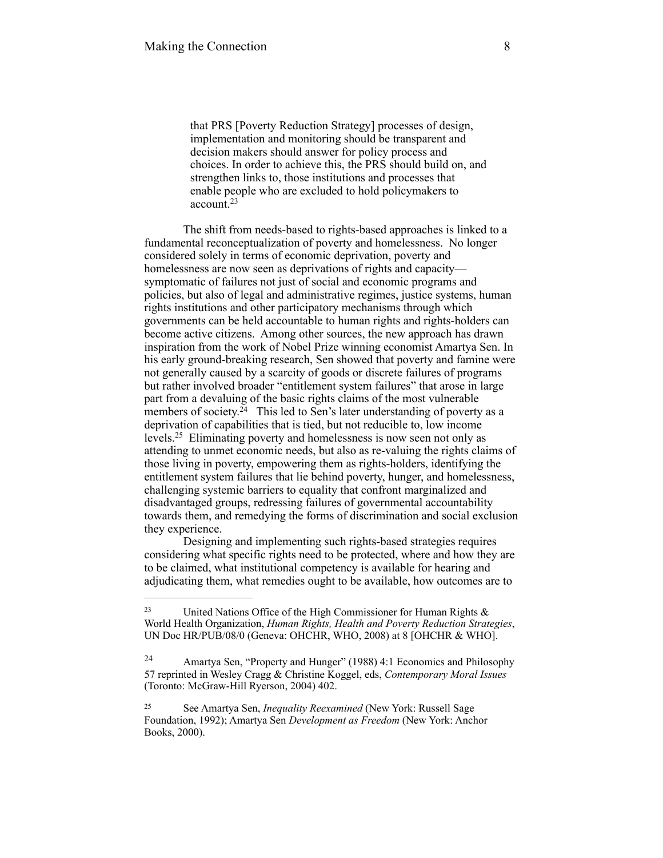that PRS [Poverty Reduction Strategy] processes of design, implementation and monitoring should be transparent and decision makers should answer for policy process and choices. In order to achieve this, the PRS should build on, and strengthen links to, those institutions and processes that enable people who are excluded to hold policymakers to account.23

The shift from needs-based to rights-based approaches is linked to a fundamental reconceptualization of poverty and homelessness. No longer considered solely in terms of economic deprivation, poverty and homelessness are now seen as deprivations of rights and capacity symptomatic of failures not just of social and economic programs and policies, but also of legal and administrative regimes, justice systems, human rights institutions and other participatory mechanisms through which governments can be held accountable to human rights and rights-holders can become active citizens. Among other sources, the new approach has drawn inspiration from the work of Nobel Prize winning economist Amartya Sen. In his early ground-breaking research, Sen showed that poverty and famine were not generally caused by a scarcity of goods or discrete failures of programs but rather involved broader "entitlement system failures" that arose in large part from a devaluing of the basic rights claims of the most vulnerable members of society.<sup>24</sup> This led to Sen's later understanding of poverty as a deprivation of capabilities that is tied, but not reducible to, low income levels.<sup>25</sup> Eliminating poverty and homelessness is now seen not only as attending to unmet economic needs, but also as re-valuing the rights claims of those living in poverty, empowering them as rights-holders, identifying the entitlement system failures that lie behind poverty, hunger, and homelessness, challenging systemic barriers to equality that confront marginalized and disadvantaged groups, redressing failures of governmental accountability towards them, and remedying the forms of discrimination and social exclusion they experience.

Designing and implementing such rights-based strategies requires considering what specific rights need to be protected, where and how they are to be claimed, what institutional competency is available for hearing and adjudicating them, what remedies ought to be available, how outcomes are to

<sup>&</sup>lt;sup>23</sup> United Nations Office of the High Commissioner for Human Rights  $\&$ World Health Organization, *Human Rights, Health and Poverty Reduction Strategies*, UN Doc HR/PUB/08/0 (Geneva: OHCHR, WHO, 2008) at 8 [OHCHR & WHO].

Amartya Sen, "Property and Hunger" (1988) 4:1 Economics and Philosophy 24 57 reprinted in Wesley Cragg & Christine Koggel, eds, *Contemporary Moral Issues* (Toronto: McGraw-Hill Ryerson, 2004) 402.

See Amartya Sen, *Inequality Reexamined* (New York: Russell Sage 25 Foundation, 1992); Amartya Sen *Development as Freedom* (New York: Anchor Books, 2000).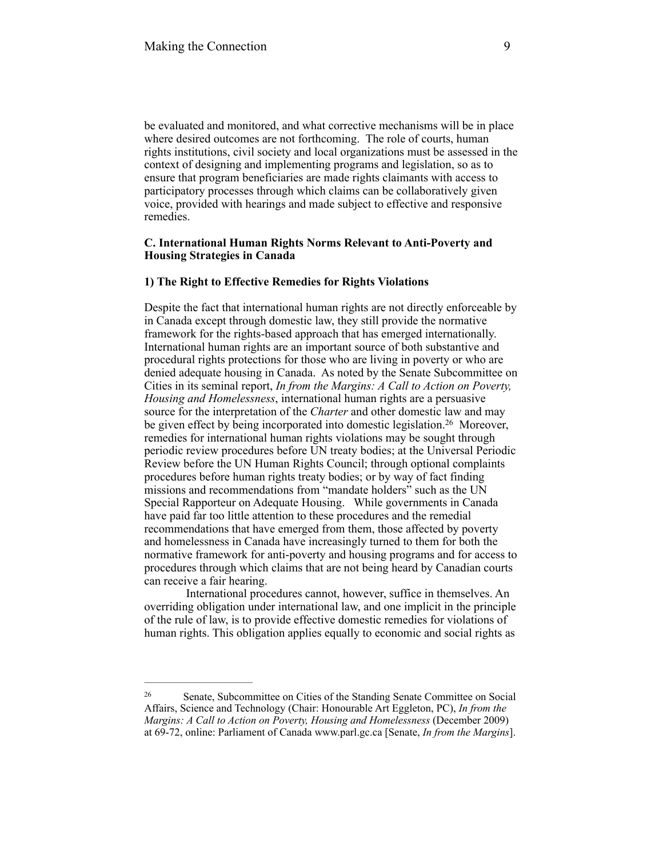be evaluated and monitored, and what corrective mechanisms will be in place where desired outcomes are not forthcoming. The role of courts, human rights institutions, civil society and local organizations must be assessed in the context of designing and implementing programs and legislation, so as to ensure that program beneficiaries are made rights claimants with access to participatory processes through which claims can be collaboratively given voice, provided with hearings and made subject to effective and responsive remedies.

# **C. International Human Rights Norms Relevant to Anti-Poverty and Housing Strategies in Canada**

## **1) The Right to Effective Remedies for Rights Violations**

Despite the fact that international human rights are not directly enforceable by in Canada except through domestic law, they still provide the normative framework for the rights-based approach that has emerged internationally. International human rights are an important source of both substantive and procedural rights protections for those who are living in poverty or who are denied adequate housing in Canada. As noted by the Senate Subcommittee on Cities in its seminal report, *In from the Margins: A Call to Action on Poverty, Housing and Homelessness*, international human rights are a persuasive source for the interpretation of the *Charter* and other domestic law and may be given effect by being incorporated into domestic legislation.<sup>26</sup> Moreover, remedies for international human rights violations may be sought through periodic review procedures before UN treaty bodies; at the Universal Periodic Review before the UN Human Rights Council; through optional complaints procedures before human rights treaty bodies; or by way of fact finding missions and recommendations from "mandate holders" such as the UN Special Rapporteur on Adequate Housing. While governments in Canada have paid far too little attention to these procedures and the remedial recommendations that have emerged from them, those affected by poverty and homelessness in Canada have increasingly turned to them for both the normative framework for anti-poverty and housing programs and for access to procedures through which claims that are not being heard by Canadian courts can receive a fair hearing.

 International procedures cannot, however, suffice in themselves. An overriding obligation under international law, and one implicit in the principle of the rule of law, is to provide effective domestic remedies for violations of human rights. This obligation applies equally to economic and social rights as

Senate, Subcommittee on Cities of the Standing Senate Committee on Social 26 Affairs, Science and Technology (Chair: Honourable Art Eggleton, PC), *In from the Margins: A Call to Action on Poverty, Housing and Homelessness* (December 2009) at 69-72, online: Parliament of Canada [www.parl.gc.ca](http://www.parl.gc.ca) [Senate, *In from the Margins*].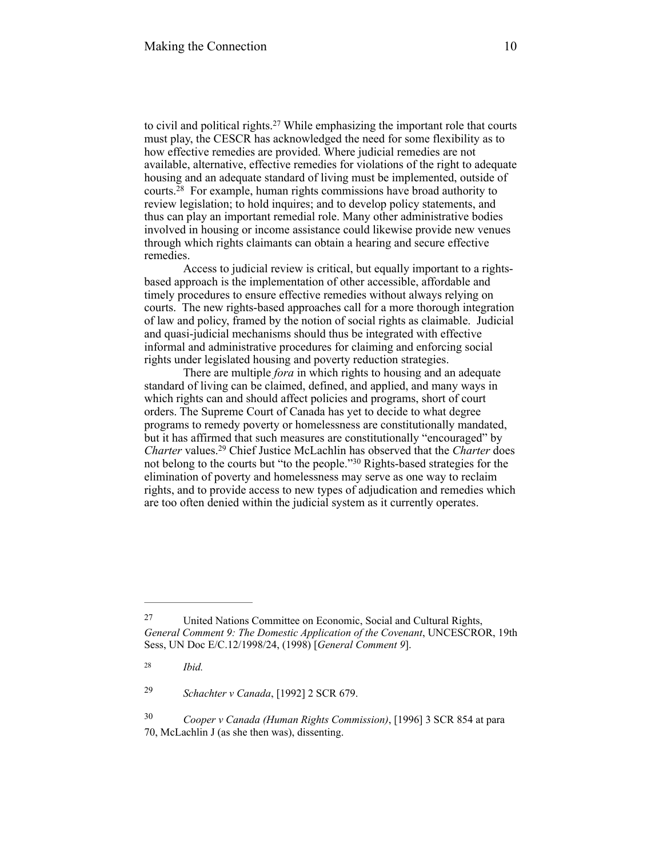to civil and political rights. $27$  While emphasizing the important role that courts must play, the CESCR has acknowledged the need for some flexibility as to how effective remedies are provided. Where judicial remedies are not available, alternative, effective remedies for violations of the right to adequate housing and an adequate standard of living must be implemented, outside of courts. $28$  For example, human rights commissions have broad authority to review legislation; to hold inquires; and to develop policy statements, and thus can play an important remedial role. Many other administrative bodies involved in housing or income assistance could likewise provide new venues through which rights claimants can obtain a hearing and secure effective remedies.

Access to judicial review is critical, but equally important to a rightsbased approach is the implementation of other accessible, affordable and timely procedures to ensure effective remedies without always relying on courts. The new rights-based approaches call for a more thorough integration of law and policy, framed by the notion of social rights as claimable. Judicial and quasi-judicial mechanisms should thus be integrated with effective informal and administrative procedures for claiming and enforcing social rights under legislated housing and poverty reduction strategies.

There are multiple *fora* in which rights to housing and an adequate standard of living can be claimed, defined, and applied, and many ways in which rights can and should affect policies and programs, short of court orders. The Supreme Court of Canada has yet to decide to what degree programs to remedy poverty or homelessness are constitutionally mandated, but it has affirmed that such measures are constitutionally "encouraged" by *Charter* values.<sup>29</sup> Chief Justice McLachlin has observed that the *Charter* does not belong to the courts but "to the people."<sup>30</sup> Rights-based strategies for the elimination of poverty and homelessness may serve as one way to reclaim rights, and to provide access to new types of adjudication and remedies which are too often denied within the judicial system as it currently operates.

29 *Schachter v Canada*, [1992] 2 SCR 679.

 *Cooper v Canada (Human Rights Commission)*, [1996] 3 SCR 854 at para 30 70, McLachlin J (as she then was), dissenting.

United Nations Committee on Economic, Social and Cultural Rights, 27 *General Comment 9: The Domestic Application of the Covenant*, UNCESCROR, 19th Sess, UN Doc E/C.12/1998/24, (1998) [*General Comment 9*].

*Ibid.* <sup>28</sup>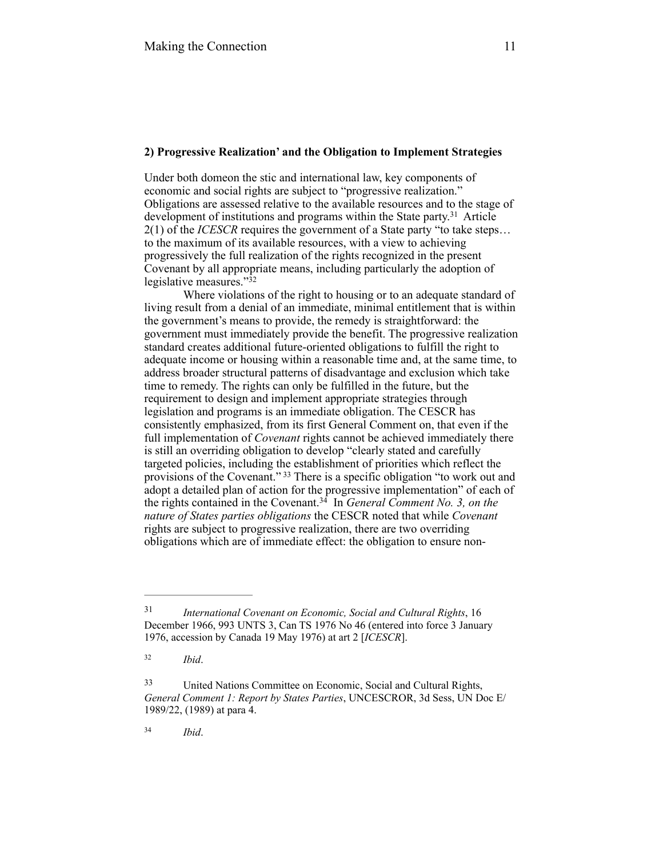#### **2) Progressive Realization' and the Obligation to Implement Strategies**

Under both domeon the stic and international law, key components of economic and social rights are subject to "progressive realization." Obligations are assessed relative to the available resources and to the stage of development of institutions and programs within the State party.<sup>31</sup> Article 2(1) of the *ICESCR* requires the government of a State party "to take steps… to the maximum of its available resources, with a view to achieving progressively the full realization of the rights recognized in the present Covenant by all appropriate means, including particularly the adoption of legislative measures." $32$ 

Where violations of the right to housing or to an adequate standard of living result from a denial of an immediate, minimal entitlement that is within the government's means to provide, the remedy is straightforward: the government must immediately provide the benefit. The progressive realization standard creates additional future-oriented obligations to fulfill the right to adequate income or housing within a reasonable time and, at the same time, to address broader structural patterns of disadvantage and exclusion which take time to remedy. The rights can only be fulfilled in the future, but the requirement to design and implement appropriate strategies through legislation and programs is an immediate obligation. The CESCR has consistently emphasized, from its first General Comment on, that even if the full implementation of *Covenant* rights cannot be achieved immediately there is still an overriding obligation to develop "clearly stated and carefully targeted policies, including the establishment of priorities which reflect the provisions of the Covenant." 33 There is a specific obligation "to work out and adopt a detailed plan of action for the progressive implementation" of each of the rights contained in the Covenant.<sup>34</sup> In *General Comment No. 3, on the nature of States parties obligations* the CESCR noted that while *Covenant* rights are subject to progressive realization, there are two overriding obligations which are of immediate effect: the obligation to ensure non-

*Ibid*. <sup>34</sup>

*International Covenant on Economic, Social and Cultural Rights*, 16 31 December 1966, 993 UNTS 3, Can TS 1976 No 46 (entered into force 3 January 1976, accession by Canada 19 May 1976) at art 2 [*ICESCR*].

*Ibid*. <sup>32</sup>

United Nations Committee on Economic, Social and Cultural Rights, 33 *General Comment 1: Report by States Parties*, UNCESCROR, 3d Sess, UN Doc E/ 1989/22, (1989) at para 4.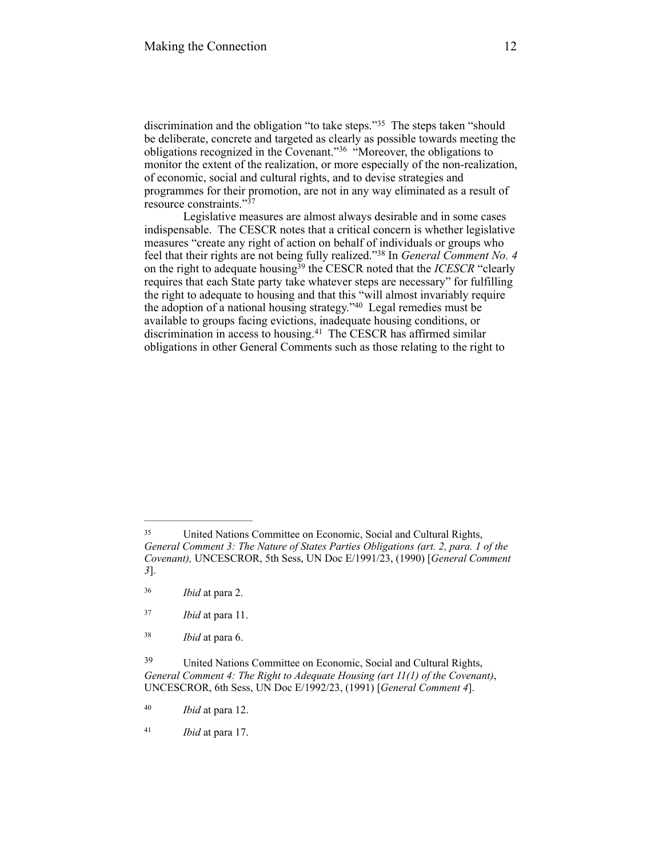discrimination and the obligation "to take steps."<sup>35</sup> The steps taken "should be deliberate, concrete and targeted as clearly as possible towards meeting the obligations recognized in the Covenant."<sup>36</sup> "Moreover, the obligations to monitor the extent of the realization, or more especially of the non-realization, of economic, social and cultural rights, and to devise strategies and programmes for their promotion, are not in any way eliminated as a result of resource constraints."37

Legislative measures are almost always desirable and in some cases indispensable. The CESCR notes that a critical concern is whether legislative measures "create any right of action on behalf of individuals or groups who feel that their rights are not being fully realized."<sup>38</sup> In *General Comment No. 4* on the right to adequate housing<sup>39</sup> the CESCR noted that the *ICESCR* "clearly requires that each State party take whatever steps are necessary" for fulfilling the right to adequate to housing and that this "will almost invariably require the adoption of a national housing strategy." $40$  Legal remedies must be available to groups facing evictions, inadequate housing conditions, or discrimination in access to housing.<sup>41</sup> The CESCR has affirmed similar obligations in other General Comments such as those relating to the right to

United Nations Committee on Economic, Social and Cultural Rights, 35 *General Comment 3: The Nature of States Parties Obligations (art. 2, para. 1 of the Covenant),* UNCESCROR, 5th Sess, UN Doc E/1991/23, (1990) [*General Comment 3*].

*Ibid* at para 2. <sup>36</sup>

*Ibid* at para 11. <sup>37</sup>

*Ibid* at para 6. <sup>38</sup>

United Nations Committee on Economic, Social and Cultural Rights, 39 *General Comment 4: The Right to Adequate Housing (art 11(1) of the Covenant)*, UNCESCROR, 6th Sess, UN Doc E/1992/23, (1991) [*General Comment 4*].

*Ibid* at para 12. 40

*Ibid* at para 17. <sup>41</sup>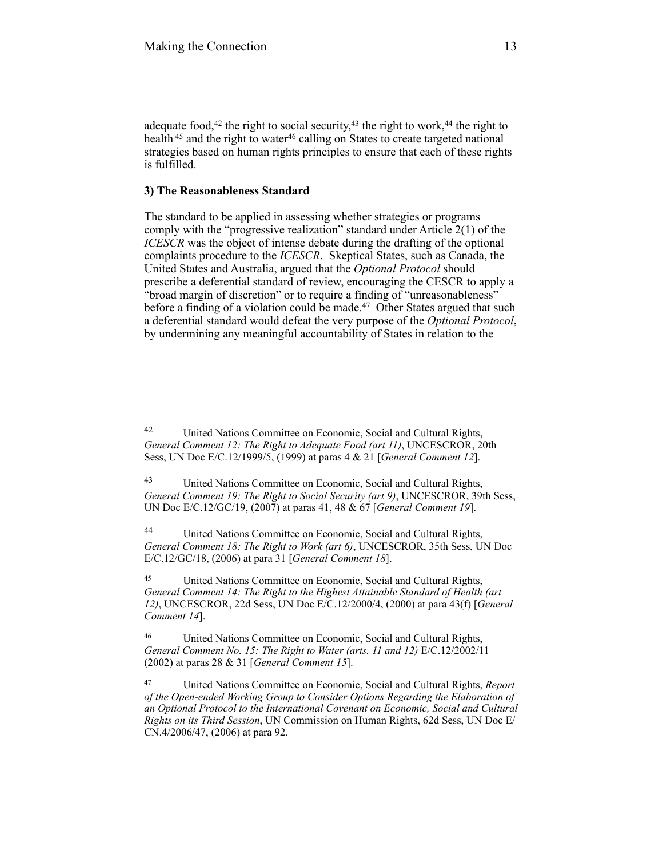adequate food,  $42$  the right to social security,  $43$  the right to work,  $44$  the right to health  $45$  and the right to water  $46$  calling on States to create targeted national strategies based on human rights principles to ensure that each of these rights is fulfilled.

# **3) The Reasonableness Standard**

The standard to be applied in assessing whether strategies or programs comply with the "progressive realization" standard under Article 2(1) of the *ICESCR* was the object of intense debate during the drafting of the optional complaints procedure to the *ICESCR*. Skeptical States, such as Canada, the United States and Australia, argued that the *Optional Protocol* should prescribe a deferential standard of review, encouraging the CESCR to apply a "broad margin of discretion" or to require a finding of "unreasonableness" before a finding of a violation could be made.<sup>47</sup> Other States argued that such a deferential standard would defeat the very purpose of the *Optional Protocol*, by undermining any meaningful accountability of States in relation to the

United Nations Committee on Economic, Social and Cultural Rights, 42 *General Comment 12: The Right to Adequate Food (art 11)*, UNCESCROR, 20th Sess, UN Doc E/C.12/1999/5, (1999) at paras 4 & 21 [*General Comment 12*].

United Nations Committee on Economic, Social and Cultural Rights, 43 *General Comment 19: The Right to Social Security (art 9)*, UNCESCROR, 39th Sess, UN Doc E/C.12/GC/19, (2007) at paras 41, 48 & 67 [*General Comment 19*].

United Nations Committee on Economic, Social and Cultural Rights, 44 *General Comment 18: The Right to Work (art 6)*, UNCESCROR, 35th Sess, UN Doc E/C.12/GC/18, (2006) at para 31 [*General Comment 18*].

United Nations Committee on Economic, Social and Cultural Rights, 45 *General Comment 14: The Right to the Highest Attainable Standard of Health (art 12)*, UNCESCROR, 22d Sess, UN Doc E/C.12/2000/4, (2000) at para 43(f) [*General Comment 14*].

United Nations Committee on Economic, Social and Cultural Rights, 46 *General Comment No. 15: The Right to Water (arts. 11 and 12)* E/C.12/2002/11 (2002) at paras 28 & 31 [*General Comment 15*].

United Nations Committee on Economic, Social and Cultural Rights, *Report* <sup>47</sup> *of the Open-ended Working Group to Consider Options Regarding the Elaboration of an Optional Protocol to the International Covenant on Economic, Social and Cultural Rights on its Third Session*, UN Commission on Human Rights, 62d Sess, UN Doc E/ CN.4/2006/47, (2006) at para 92.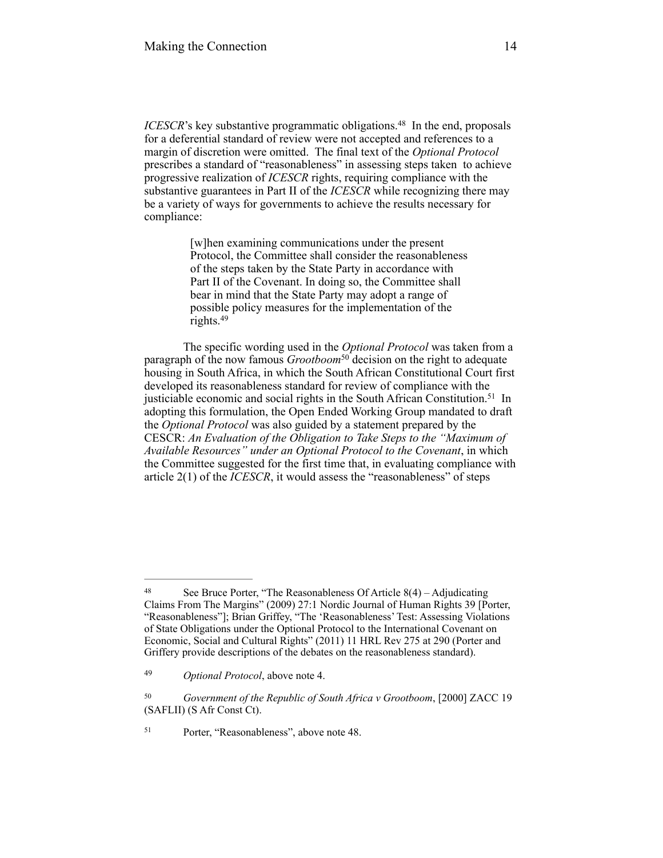*ICESCR*'s key substantive programmatic obligations.<sup>48</sup> In the end, proposals for a deferential standard of review were not accepted and references to a margin of discretion were omitted. The final text of the *Optional Protocol* prescribes a standard of "reasonableness" in assessing steps taken to achieve progressive realization of *ICESCR* rights, requiring compliance with the substantive guarantees in Part II of the *ICESCR* while recognizing there may be a variety of ways for governments to achieve the results necessary for compliance:

> [w]hen examining communications under the present Protocol, the Committee shall consider the reasonableness of the steps taken by the State Party in accordance with Part II of the Covenant. In doing so, the Committee shall bear in mind that the State Party may adopt a range of possible policy measures for the implementation of the rights.49

The specific wording used in the *Optional Protocol* was taken from a paragraph of the now famous *Grootboom*<sup>50</sup> decision on the right to adequate housing in South Africa, in which the South African Constitutional Court first developed its reasonableness standard for review of compliance with the justiciable economic and social rights in the South African Constitution.<sup>51</sup> In adopting this formulation, the Open Ended Working Group mandated to draft the *Optional Protocol* was also guided by a statement prepared by the CESCR: *An Evaluation of the Obligation to Take Steps to the "Maximum of Available Resources" under an Optional Protocol to the Covenant*, in which the Committee suggested for the first time that, in evaluating compliance with article 2(1) of the *ICESCR*, it would assess the "reasonableness" of steps

<sup>&</sup>lt;sup>48</sup> See Bruce Porter, "The Reasonableness Of Article  $8(4)$  – Adjudicating Claims From The Margins" (2009) 27:1 Nordic Journal of Human Rights 39 [Porter, "Reasonableness"]; Brian Griffey, "The 'Reasonableness' Test: Assessing Violations of State Obligations under the Optional Protocol to the International Covenant on Economic, Social and Cultural Rights" (2011) 11 HRL Rev 275 at 290 (Porter and Griffery provide descriptions of the debates on the reasonableness standard).

<sup>&</sup>lt;sup>49</sup> *Optional Protocol*, above note 4.

<sup>&</sup>lt;sup>50</sup> *Government of the Republic of South Africa v Grootboom*, [2000] ZACC 19 (SAFLII) (S Afr Const Ct).

<sup>&</sup>lt;sup>51</sup> Porter, "Reasonableness", above note 48.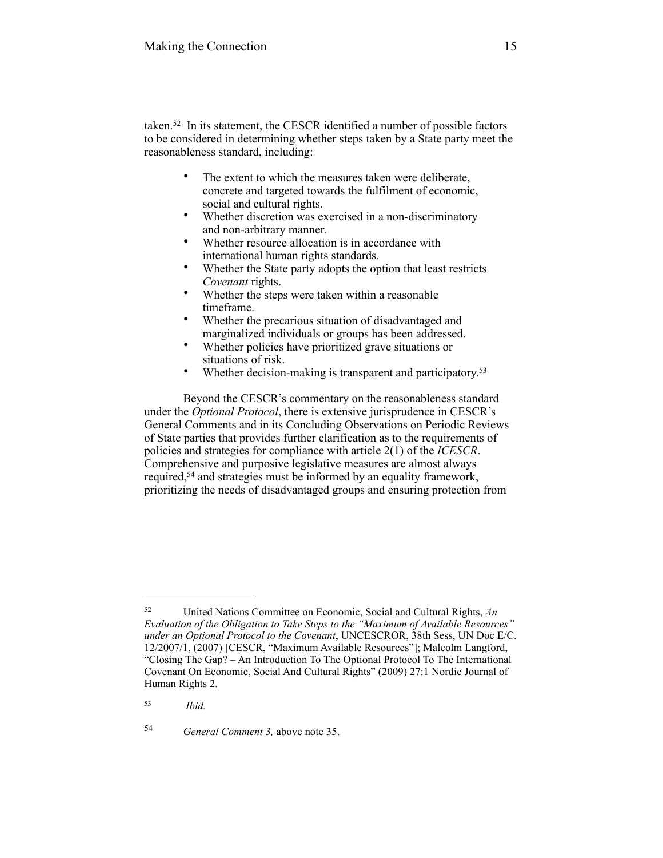taken. $52$  In its statement, the CESCR identified a number of possible factors to be considered in determining whether steps taken by a State party meet the reasonableness standard, including:

- The extent to which the measures taken were deliberate, concrete and targeted towards the fulfilment of economic, social and cultural rights.
- Whether discretion was exercised in a non-discriminatory and non-arbitrary manner.
- Whether resource allocation is in accordance with international human rights standards.
- Whether the State party adopts the option that least restricts *Covenant* rights.
- Whether the steps were taken within a reasonable timeframe.
- Whether the precarious situation of disadvantaged and marginalized individuals or groups has been addressed.
- Whether policies have prioritized grave situations or situations of risk.
- Whether decision-making is transparent and participatory.<sup>53</sup>

Beyond the CESCR's commentary on the reasonableness standard under the *Optional Protocol*, there is extensive jurisprudence in CESCR's General Comments and in its Concluding Observations on Periodic Reviews of State parties that provides further clarification as to the requirements of policies and strategies for compliance with article 2(1) of the *ICESCR*. Comprehensive and purposive legislative measures are almost always required,<sup>54</sup> and strategies must be informed by an equality framework, prioritizing the needs of disadvantaged groups and ensuring protection from

United Nations Committee on Economic, Social and Cultural Rights, *An* <sup>52</sup> *Evaluation of the Obligation to Take Steps to the "Maximum of Available Resources" under an Optional Protocol to the Covenant*, UNCESCROR, 38th Sess, UN Doc E/C. 12/2007/1, (2007) [CESCR, "Maximum Available Resources"]; Malcolm Langford, "Closing The Gap? – An Introduction To The Optional Protocol To The International Covenant On Economic, Social And Cultural Rights" (2009) 27:1 Nordic Journal of Human Rights 2.

*Ibid.* <sup>53</sup>

<sup>&</sup>lt;sup>54</sup> *General Comment 3, above note 35.*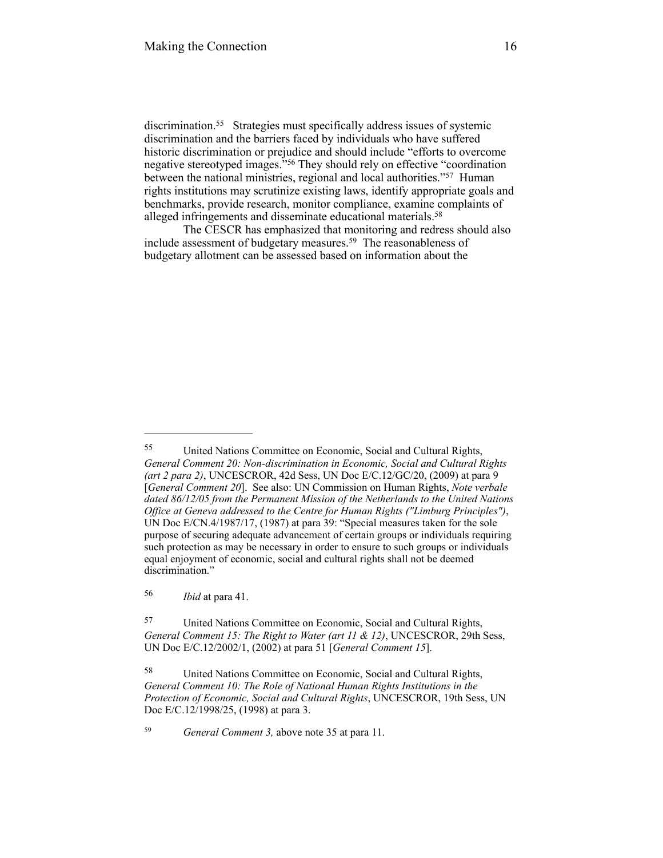discrimination.<sup>55</sup> Strategies must specifically address issues of systemic discrimination and the barriers faced by individuals who have suffered historic discrimination or prejudice and should include "efforts to overcome negative stereotyped images."<sup>56</sup> They should rely on effective "coordination between the national ministries, regional and local authorities."<sup>57</sup> Human rights institutions may scrutinize existing laws, identify appropriate goals and benchmarks, provide research, monitor compliance, examine complaints of alleged infringements and disseminate educational materials. 58

The CESCR has emphasized that monitoring and redress should also include assessment of budgetary measures.<sup>59</sup> The reasonableness of budgetary allotment can be assessed based on information about the

<sup>59</sup> *General Comment 3, above note 35 at para 11.* 

United Nations Committee on Economic, Social and Cultural Rights, 55 *General Comment 20: Non-discrimination in Economic, Social and Cultural Rights (art 2 para 2)*, UNCESCROR, 42d Sess, UN Doc E/C.12/GC/20, (2009) at para 9 [*General Comment 20*]. See also: UN Commission on Human Rights, *Note verbale dated 86/12/05 from the Permanent Mission of the Netherlands to the United Nations Office at Geneva addressed to the Centre for Human Rights ("Limburg Principles")*, UN Doc E/CN.4/1987/17, (1987) at para 39: "Special measures taken for the sole purpose of securing adequate advancement of certain groups or individuals requiring such protection as may be necessary in order to ensure to such groups or individuals equal enjoyment of economic, social and cultural rights shall not be deemed discrimination."

*Ibid* at para 41. 56

United Nations Committee on Economic, Social and Cultural Rights, 57 *General Comment 15: The Right to Water (art 11 & 12)*, UNCESCROR, 29th Sess, UN Doc E/C.12/2002/1, (2002) at para 51 [*General Comment 15*].

United Nations Committee on Economic, Social and Cultural Rights, 58 *General Comment 10: The Role of National Human Rights Institutions in the Protection of Economic, Social and Cultural Rights*, UNCESCROR, 19th Sess, UN Doc E/C.12/1998/25, (1998) at para 3.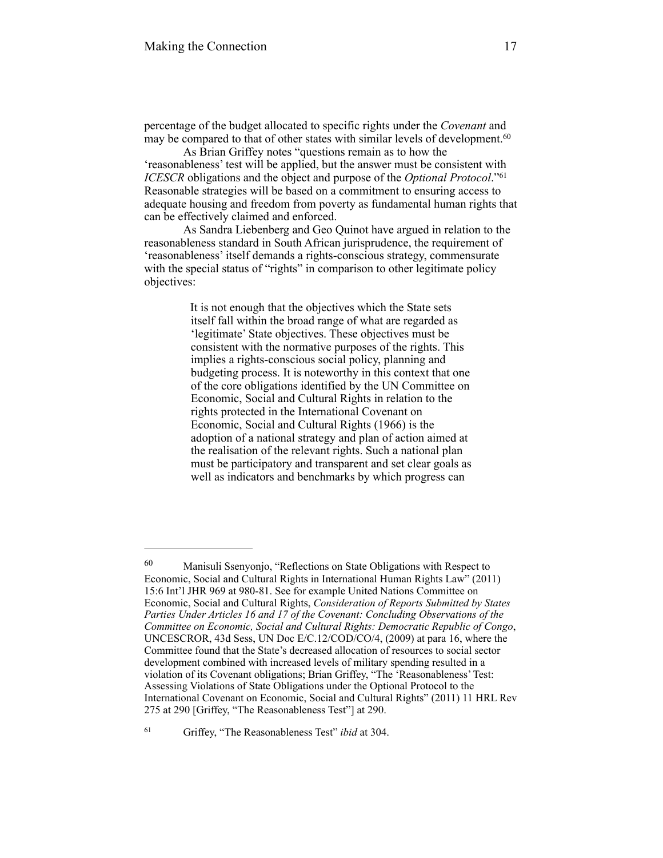percentage of the budget allocated to specific rights under the *Covenant* and may be compared to that of other states with similar levels of development.<sup>60</sup>

 As Brian Griffey notes "questions remain as to how the 'reasonableness' test will be applied, but the answer must be consistent with *ICESCR* obligations and the object and purpose of the *Optional Protocol*."<sup>61</sup> Reasonable strategies will be based on a commitment to ensuring access to adequate housing and freedom from poverty as fundamental human rights that can be effectively claimed and enforced.

As Sandra Liebenberg and Geo Quinot have argued in relation to the reasonableness standard in South African jurisprudence, the requirement of 'reasonableness' itself demands a rights-conscious strategy, commensurate with the special status of "rights" in comparison to other legitimate policy objectives:

> It is not enough that the objectives which the State sets itself fall within the broad range of what are regarded as 'legitimate' State objectives. These objectives must be consistent with the normative purposes of the rights. This implies a rights-conscious social policy, planning and budgeting process. It is noteworthy in this context that one of the core obligations identified by the UN Committee on Economic, Social and Cultural Rights in relation to the rights protected in the International Covenant on Economic, Social and Cultural Rights (1966) is the adoption of a national strategy and plan of action aimed at the realisation of the relevant rights. Such a national plan must be participatory and transparent and set clear goals as well as indicators and benchmarks by which progress can

<sup>61</sup> Griffey, "The Reasonableness Test" *ibid* at 304.

<sup>&</sup>lt;sup>60</sup> Manisuli Ssenyonjo, "Reflections on State Obligations with Respect to Economic, Social and Cultural Rights in International Human Rights Law" (2011) 15:6 Int'l JHR 969 at 980-81. See for example United Nations Committee on Economic, Social and Cultural Rights, *Consideration of Reports Submitted by States Parties Under Articles 16 and 17 of the Covenant: Concluding Observations of the Committee on Economic, Social and Cultural Rights: Democratic Republic of Congo*, UNCESCROR, 43d Sess, UN Doc E/C.12/COD/CO/4, (2009) at para 16, where the Committee found that the State's decreased allocation of resources to social sector development combined with increased levels of military spending resulted in a violation of its Covenant obligations; Brian Griffey, "The 'Reasonableness' Test: Assessing Violations of State Obligations under the Optional Protocol to the International Covenant on Economic, Social and Cultural Rights" (2011) 11 HRL Rev 275 at 290 [Griffey, "The Reasonableness Test"] at 290.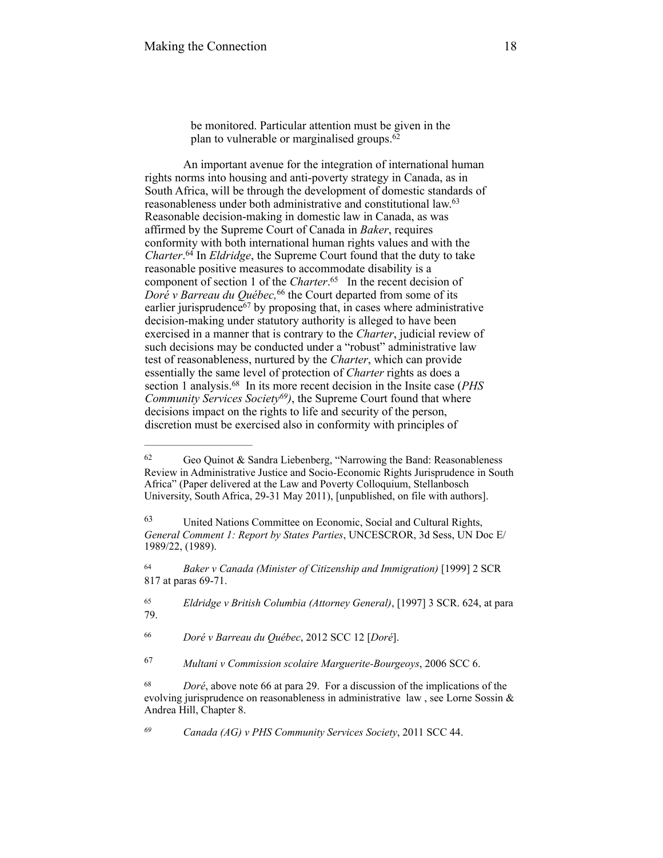be monitored. Particular attention must be given in the plan to vulnerable or marginalised groups.62

 An important avenue for the integration of international human rights norms into housing and anti-poverty strategy in Canada, as in South Africa, will be through the development of domestic standards of reasonableness under both administrative and constitutional law. 63 Reasonable decision-making in domestic law in Canada, as was affirmed by the Supreme Court of Canada in *Baker*, requires conformity with both international human rights values and with the *Charter*.<sup>64</sup> In *Eldridge*, the Supreme Court found that the duty to take reasonable positive measures to accommodate disability is a component of section 1 of the *Charter*.<sup>65</sup> In the recent decision of *Doré v Barreau du Québec*, <sup>66</sup> the Court departed from some of its earlier jurisprudence<sup> $67$ </sup> by proposing that, in cases where administrative decision-making under statutory authority is alleged to have been exercised in a manner that is contrary to the *Charter*, judicial review of such decisions may be conducted under a "robust" administrative law test of reasonableness, nurtured by the *Charter*, which can provide essentially the same level of protection of *Charter* rights as does a section 1 analysis.<sup>68</sup> In its more recent decision in the Insite case (*PHS*) *Community Services Society<sup>69</sup>*), the Supreme Court found that where decisions impact on the rights to life and security of the person, discretion must be exercised also in conformity with principles of

 $62$  Geo Quinot & Sandra Liebenberg, "Narrowing the Band: Reasonableness Review in Administrative Justice and Socio-Economic Rights Jurisprudence in South Africa" (Paper delivered at the Law and Poverty Colloquium, Stellanbosch University, South Africa, 29-31 May 2011), [unpublished, on file with authors].

United Nations Committee on Economic, Social and Cultural Rights, 63 *General Comment 1: Report by States Parties*, UNCESCROR, 3d Sess, UN Doc E/ 1989/22, (1989).

*Baker v Canada (Minister of Citizenship and Immigration)* [1999] 2 SCR 64 817 at paras 69-71.

<sup>&</sup>lt;sup>65</sup> *Eldridge v British Columbia (Attorney General)*, [1997] 3 SCR. 624, at para 79.

*Doré v Barreau du Québec*, 2012 SCC 12 [*Doré*]. <sup>66</sup>

<sup>&</sup>lt;sup>67</sup> Multani v Commission scolaire Marguerite-Bourgeoys, 2006 SCC 6.

 $b^{8}$  *Doré*, above note 66 at para 29. For a discussion of the implications of the evolving jurisprudence on reasonableness in administrative law , see Lorne Sossin & Andrea Hill, Chapter 8.

*Canada (AG) v PHS Community Services Society*, 2011 SCC 44. *69*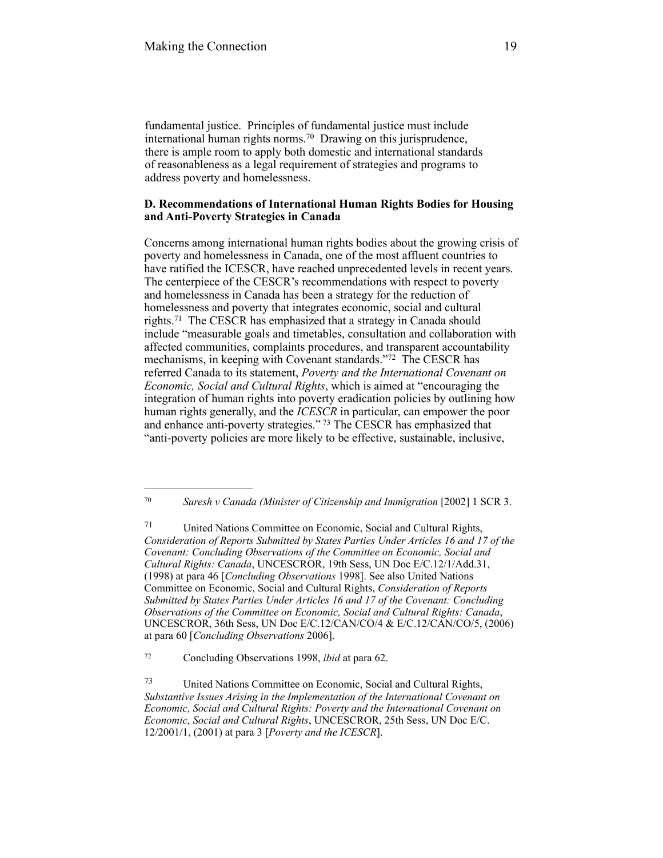fundamental justice. Principles of fundamental justice must include international human rights norms.<sup>70</sup> Drawing on this jurisprudence, there is ample room to apply both domestic and international standards of reasonableness as a legal requirement of strategies and programs to address poverty and homelessness.

# **D. Recommendations of International Human Rights Bodies for Housing and Anti-Poverty Strategies in Canada**

Concerns among international human rights bodies about the growing crisis of poverty and homelessness in Canada, one of the most affluent countries to have ratified the ICESCR, have reached unprecedented levels in recent years. The centerpiece of the CESCR's recommendations with respect to poverty and homelessness in Canada has been a strategy for the reduction of homelessness and poverty that integrates economic, social and cultural rights.<sup>71</sup> The CESCR has emphasized that a strategy in Canada should include "measurable goals and timetables, consultation and collaboration with affected communities, complaints procedures, and transparent accountability mechanisms, in keeping with Covenant standards."<sup>72</sup> The CESCR has referred Canada to its statement, *Poverty and the International Covenant on Economic, Social and Cultural Rights*, which is aimed at "encouraging the integration of human rights into poverty eradication policies by outlining how human rights generally, and the *ICESCR* in particular, can empower the poor and enhance anti-poverty strategies."<sup>73</sup> The CESCR has emphasized that "anti-poverty policies are more likely to be effective, sustainable, inclusive,

Concluding Observations 1998, *ibid* at para 62. <sup>72</sup>

<sup>&</sup>lt;sup>70</sup> Suresh v Canada (Minister of Citizenship and Immigration [2002] 1 SCR 3.

United Nations Committee on Economic, Social and Cultural Rights, 71 *Consideration of Reports Submitted by States Parties Under Articles 16 and 17 of the Covenant: Concluding Observations of the Committee on Economic, Social and Cultural Rights: Canada*, UNCESCROR, 19th Sess, UN Doc E/C.12/1/Add.31, (1998) at para 46 [*Concluding Observations* 1998]. See also United Nations Committee on Economic, Social and Cultural Rights, *Consideration of Reports Submitted by States Parties Under Articles 16 and 17 of the Covenant: Concluding Observations of the Committee on Economic, Social and Cultural Rights: Canada*, UNCESCROR, 36th Sess, UN Doc E/C.12/CAN/CO/4 & E/C.12/CAN/CO/5, (2006) at para 60 [*Concluding Observations* 2006].

United Nations Committee on Economic, Social and Cultural Rights, 73 *Substantive Issues Arising in the Implementation of the International Covenant on Economic, Social and Cultural Rights: Poverty and the International Covenant on Economic, Social and Cultural Rights*, UNCESCROR, 25th Sess, UN Doc E/C. 12/2001/1, (2001) at para 3 [*Poverty and the ICESCR*].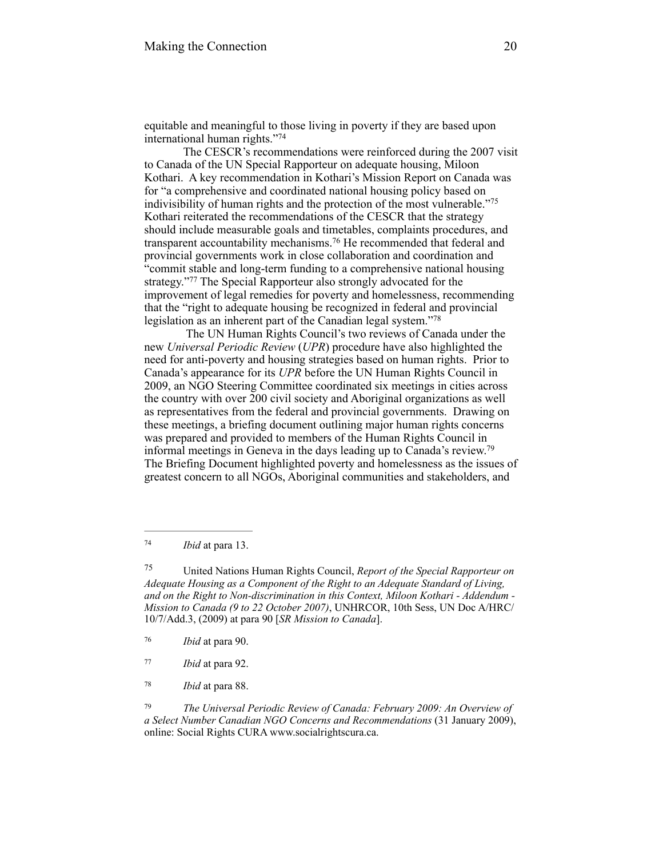equitable and meaningful to those living in poverty if they are based upon international human rights."<sup>74</sup>

The CESCR's recommendations were reinforced during the 2007 visit to Canada of the UN Special Rapporteur on adequate housing, Miloon Kothari. A key recommendation in Kothari's Mission Report on Canada was for "a comprehensive and coordinated national housing policy based on indivisibility of human rights and the protection of the most vulnerable."75 Kothari reiterated the recommendations of the CESCR that the strategy should include measurable goals and timetables, complaints procedures, and transparent accountability mechanisms.<sup>76</sup> He recommended that federal and provincial governments work in close collaboration and coordination and "commit stable and long-term funding to a comprehensive national housing strategy."<sup>77</sup> The Special Rapporteur also strongly advocated for the improvement of legal remedies for poverty and homelessness, recommending that the "right to adequate housing be recognized in federal and provincial legislation as an inherent part of the Canadian legal system."<sup>78</sup>

 The UN Human Rights Council's two reviews of Canada under the new *Universal Periodic Review* (*UPR*) procedure have also highlighted the need for anti-poverty and housing strategies based on human rights. Prior to Canada's appearance for its *UPR* before the UN Human Rights Council in 2009, an NGO Steering Committee coordinated six meetings in cities across the country with over 200 civil society and Aboriginal organizations as well as representatives from the federal and provincial governments. Drawing on these meetings, a briefing document outlining major human rights concerns was prepared and provided to members of the Human Rights Council in informal meetings in Geneva in the days leading up to Canada's review. 79 The Briefing Document highlighted poverty and homelessness as the issues of greatest concern to all NGOs, Aboriginal communities and stakeholders, and

 United Nations Human Rights Council, *Report of the Special Rapporteur on* <sup>75</sup> *Adequate Housing as a Component of the Right to an Adequate Standard of Living, and on the Right to Non-discrimination in this Context, Miloon Kothari - Addendum - Mission to Canada (9 to 22 October 2007)*, UNHRCOR, 10th Sess, UN Doc A/HRC/ 10/7/Add.3, (2009) at para 90 [*SR Mission to Canada*].

 *The Universal Periodic Review of Canada: February 2009: An Overview of* <sup>79</sup> *a Select Number Canadian NGO Concerns and Recommendations* (31 January 2009), online: Social Rights CURA www.socialrightscura.ca.

*Ibid* at para 13. <sup>74</sup>

*Ibid* at para 90. <sup>76</sup>

*Ibid* at para 92. <sup>77</sup>

<sup>&</sup>lt;sup>78</sup> *Ibid* at para 88.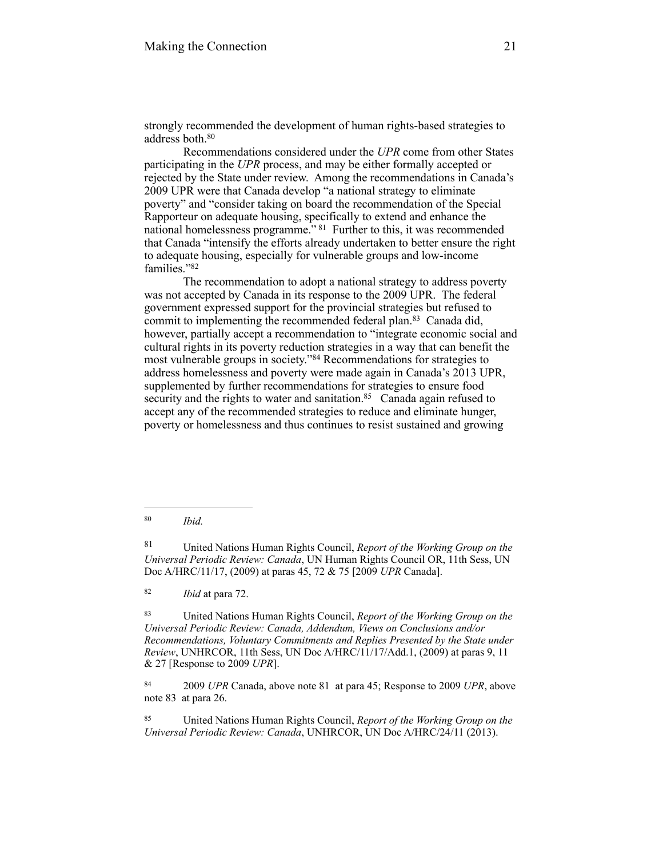strongly recommended the development of human rights-based strategies to address both. 80

Recommendations considered under the *UPR* come from other States participating in the *UPR* process, and may be either formally accepted or rejected by the State under review. Among the recommendations in Canada's 2009 UPR were that Canada develop "a national strategy to eliminate poverty" and "consider taking on board the recommendation of the Special Rapporteur on adequate housing, specifically to extend and enhance the national homelessness programme." <sup>81</sup> Further to this, it was recommended that Canada "intensify the efforts already undertaken to better ensure the right to adequate housing, especially for vulnerable groups and low-income families."82

The recommendation to adopt a national strategy to address poverty was not accepted by Canada in its response to the 2009 UPR. The federal government expressed support for the provincial strategies but refused to commit to implementing the recommended federal plan.<sup>83</sup> Canada did, however, partially accept a recommendation to "integrate economic social and cultural rights in its poverty reduction strategies in a way that can benefit the most vulnerable groups in society."<sup>84</sup> Recommendations for strategies to address homelessness and poverty were made again in Canada's 2013 UPR, supplemented by further recommendations for strategies to ensure food security and the rights to water and sanitation.<sup>85</sup> Canada again refused to accept any of the recommended strategies to reduce and eliminate hunger, poverty or homelessness and thus continues to resist sustained and growing

<sup>82</sup> *Ibid* at para 72.

 United Nations Human Rights Council, *Report of the Working Group on the* <sup>83</sup> *Universal Periodic Review: Canada, Addendum, Views on Conclusions and/or Recommendations, Voluntary Commitments and Replies Presented by the State under Review*, UNHRCOR, 11th Sess, UN Doc A/HRC/11/17/Add.1, (2009) at paras 9, 11 & 27 [Response to 2009 *UPR*].

<sup>84</sup> 2009 *UPR* Canada, above note 81 at para 45; Response to 2009 *UPR*, above note 83 at para 26.

 United Nations Human Rights Council, *Report of the Working Group on the* <sup>85</sup> *Universal Periodic Review: Canada*, UNHRCOR, UN Doc A/HRC/24/11 (2013).

*Ibid.* <sup>80</sup>

United Nations Human Rights Council, *Report of the Working Group on the* <sup>81</sup> *Universal Periodic Review: Canada*, UN Human Rights Council OR, 11th Sess, UN Doc A/HRC/11/17, (2009) at paras 45, 72 & 75 [2009 *UPR* Canada].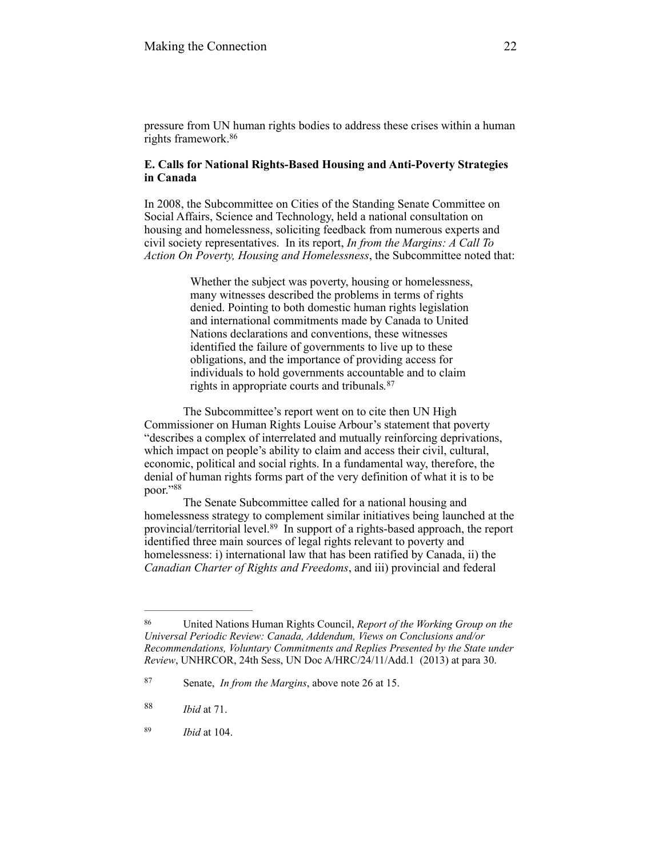pressure from UN human rights bodies to address these crises within a human rights framework.86

# **E. Calls for National Rights-Based Housing and Anti-Poverty Strategies in Canada**

In 2008, the Subcommittee on Cities of the Standing Senate Committee on Social Affairs, Science and Technology, held a national consultation on housing and homelessness, soliciting feedback from numerous experts and civil society representatives. In its report, *In from the Margins: A Call To Action On Poverty, Housing and Homelessness*, the Subcommittee noted that:

> Whether the subject was poverty, housing or homelessness, many witnesses described the problems in terms of rights denied. Pointing to both domestic human rights legislation and international commitments made by Canada to United Nations declarations and conventions, these witnesses identified the failure of governments to live up to these obligations, and the importance of providing access for individuals to hold governments accountable and to claim rights in appropriate courts and tribunals*.* 87

The Subcommittee's report went on to cite then UN High Commissioner on Human Rights Louise Arbour's statement that poverty "describes a complex of interrelated and mutually reinforcing deprivations, which impact on people's ability to claim and access their civil, cultural, economic, political and social rights. In a fundamental way, therefore, the denial of human rights forms part of the very definition of what it is to be poor."88

The Senate Subcommittee called for a national housing and homelessness strategy to complement similar initiatives being launched at the provincial/territorial level.<sup>89</sup> In support of a rights-based approach, the report identified three main sources of legal rights relevant to poverty and homelessness: i) international law that has been ratified by Canada, ii) the *Canadian Charter of Rights and Freedoms*, and iii) provincial and federal

United Nations Human Rights Council, *Report of the Working Group on the* <sup>86</sup> *Universal Periodic Review: Canada, Addendum, Views on Conclusions and/or Recommendations, Voluntary Commitments and Replies Presented by the State under Review*, UNHRCOR, 24th Sess, UN Doc A/HRC/24/11/Add.1 (2013) at para 30.

Senate, *In from the Margins*, above note 26 at 15. 87

*Ibid* at 71. <sup>88</sup>

*Ibid* at 104. 89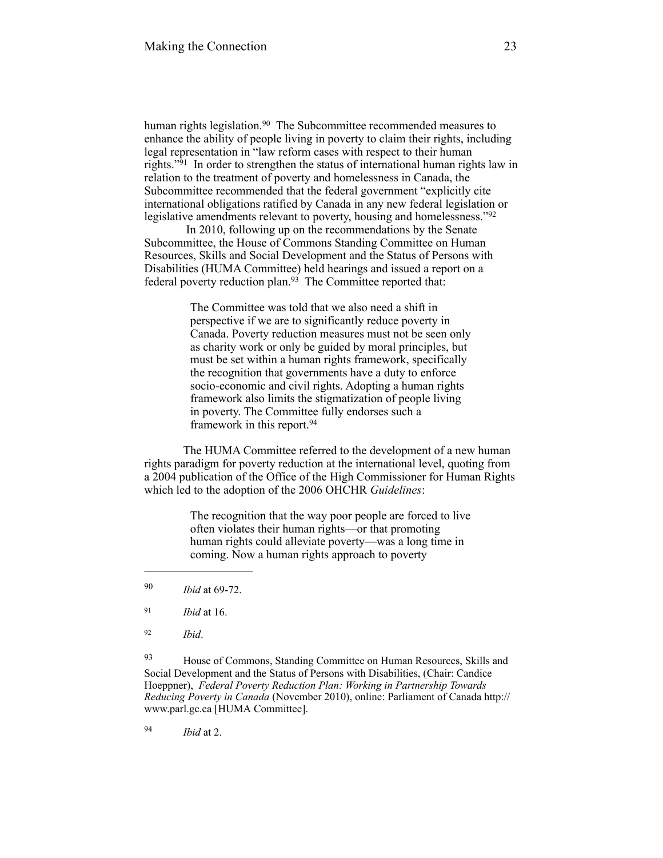human rights legislation.<sup>90</sup> The Subcommittee recommended measures to enhance the ability of people living in poverty to claim their rights, including legal representation in "law reform cases with respect to their human rights." $91$  In order to strengthen the status of international human rights law in relation to the treatment of poverty and homelessness in Canada, the Subcommittee recommended that the federal government "explicitly cite international obligations ratified by Canada in any new federal legislation or legislative amendments relevant to poverty, housing and homelessness."<sup>92</sup>

 In 2010, following up on the recommendations by the Senate Subcommittee, the House of Commons Standing Committee on Human Resources, Skills and Social Development and the Status of Persons with Disabilities (HUMA Committee) held hearings and issued a report on a federal poverty reduction plan. $93$  The Committee reported that:

> The Committee was told that we also need a shift in perspective if we are to significantly reduce poverty in Canada. Poverty reduction measures must not be seen only as charity work or only be guided by moral principles, but must be set within a human rights framework, specifically the recognition that governments have a duty to enforce socio-economic and civil rights. Adopting a human rights framework also limits the stigmatization of people living in poverty. The Committee fully endorses such a framework in this report.<sup>94</sup>

The HUMA Committee referred to the development of a new human rights paradigm for poverty reduction at the international level, quoting from a 2004 publication of the Office of the High Commissioner for Human Rights which led to the adoption of the 2006 OHCHR *Guidelines*:

> The recognition that the way poor people are forced to live often violates their human rights—or that promoting human rights could alleviate poverty—was a long time in coming. Now a human rights approach to poverty

*Ibid* at 69-72. 90

<sup>93</sup> House of Commons, Standing Committee on Human Resources, Skills and Social Development and the Status of Persons with Disabilities, (Chair: Candice Hoeppner), *Federal Poverty Reduction Plan: Working in Partnership Towards Reducing Poverty in Canada* [\(November 2010\), online: Parliament of Canada http://](http://www.parl.gc.ca/) www.parl.gc.ca [HUMA Committee].

*Ibid* at 2. <sup>94</sup>

<sup>&</sup>lt;sup>91</sup> *Ibid* at 16.

*Ibid*. <sup>92</sup>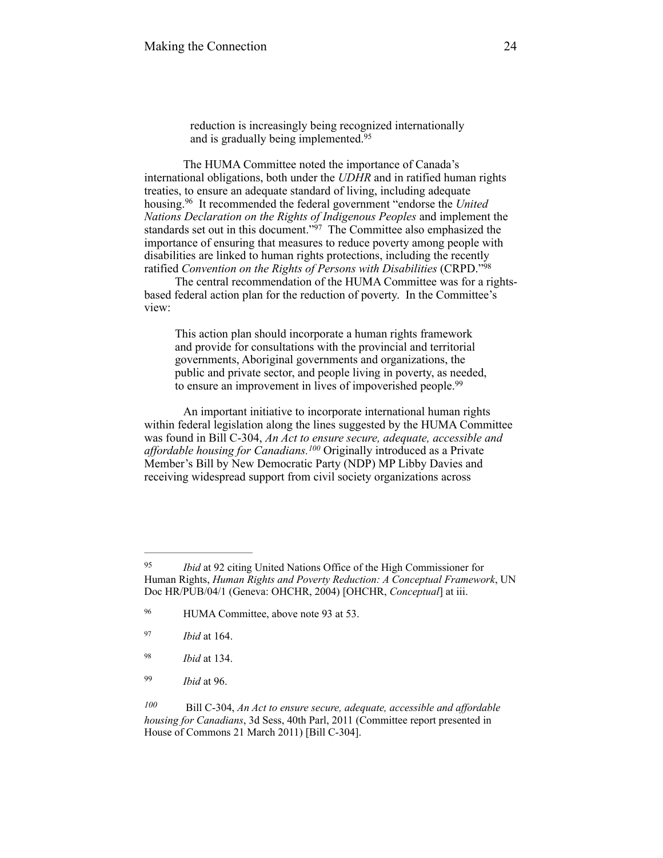reduction is increasingly being recognized internationally and is gradually being implemented.<sup>95</sup>

 The HUMA Committee noted the importance of Canada's international obligations, both under the *UDHR* and in ratified human rights treaties, to ensure an adequate standard of living, including adequate housing.<sup>96</sup> It recommended the federal government "endorse the *United Nations Declaration on the Rights of Indigenous Peoples* and implement the standards set out in this document."<sup>97</sup> The Committee also emphasized the importance of ensuring that measures to reduce poverty among people with disabilities are linked to human rights protections, including the recently ratified *Convention on the Rights of Persons with Disabilities* (CRPD."98

The central recommendation of the HUMA Committee was for a rightsbased federal action plan for the reduction of poverty. In the Committee's view:

This action plan should incorporate a human rights framework and provide for consultations with the provincial and territorial governments, Aboriginal governments and organizations, the public and private sector, and people living in poverty, as needed, to ensure an improvement in lives of impoverished people.<sup>99</sup>

An important initiative to incorporate international human rights within federal legislation along the lines suggested by the HUMA Committee was found in Bill C-304, *An Act to ensure secure, adequate, accessible and affordable housing for Canadians.<sup>100</sup> Originally introduced as a Private* Member's Bill by New Democratic Party (NDP) MP Libby Davies and receiving widespread support from civil society organizations across

<sup>&</sup>lt;sup>95</sup> *Ibid* at 92 citing United Nations Office of the High Commissioner for Human Rights, *Human Rights and Poverty Reduction: A Conceptual Framework*, UN Doc HR/PUB/04/1 (Geneva: OHCHR, 2004) [OHCHR, *Conceptual*] at iii.

<sup>&</sup>lt;sup>96</sup> HUMA Committee, above note 93 at 53.

*Ibid* at 164. <sup>97</sup>

*Ibid* at 134. <sup>98</sup>

*Ibid* at 96. <sup>99</sup>

Bill C-304, *An Act to ensure secure, adequate, accessible and affordable 100 housing for Canadians*, 3d Sess, 40th Parl, 2011 (Committee report presented in House of Commons 21 March 2011) [Bill C-304].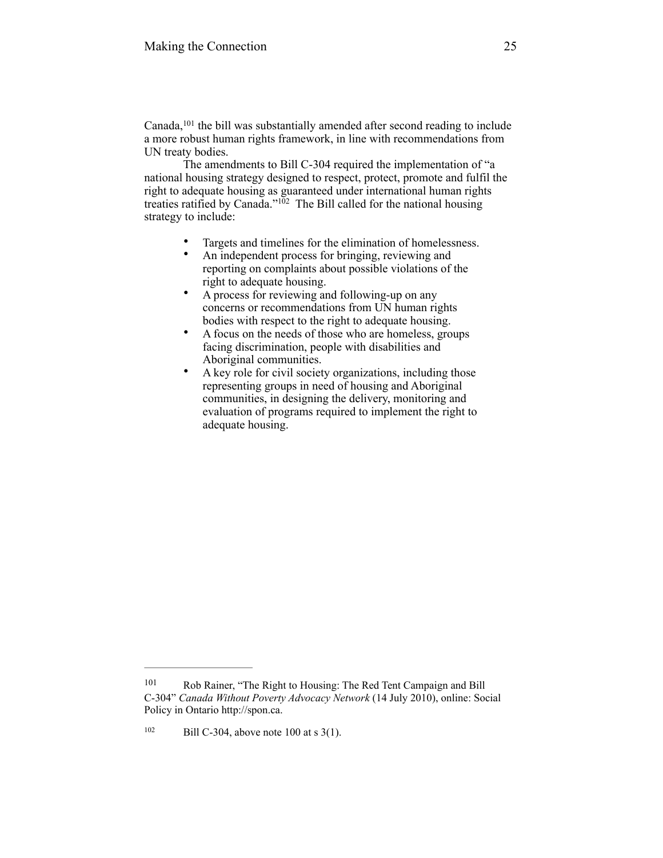Canada,  $101$  the bill was substantially amended after second reading to include a more robust human rights framework, in line with recommendations from UN treaty bodies.

The amendments to Bill C-304 required the implementation of "a national housing strategy designed to respect, protect, promote and fulfil the right to adequate housing as guaranteed under international human rights treaties ratified by Canada." $102$  The Bill called for the national housing strategy to include:

- Targets and timelines for the elimination of homelessness.
- An independent process for bringing, reviewing and reporting on complaints about possible violations of the right to adequate housing.
- A process for reviewing and following-up on any concerns or recommendations from UN human rights bodies with respect to the right to adequate housing.
- A focus on the needs of those who are homeless, groups facing discrimination, people with disabilities and Aboriginal communities.
- A key role for civil society organizations, including those representing groups in need of housing and Aboriginal communities, in designing the delivery, monitoring and evaluation of programs required to implement the right to adequate housing.

<sup>&</sup>lt;sup>101</sup> Rob Rainer, "The Right to Housing: The Red Tent Campaign and Bill C-304" *Canada Without Poverty Advocacy Network* (14 July 2010), online: Social Policy in Ontario http://spon.ca.

 $102$  Bill C-304, above note 100 at s 3(1).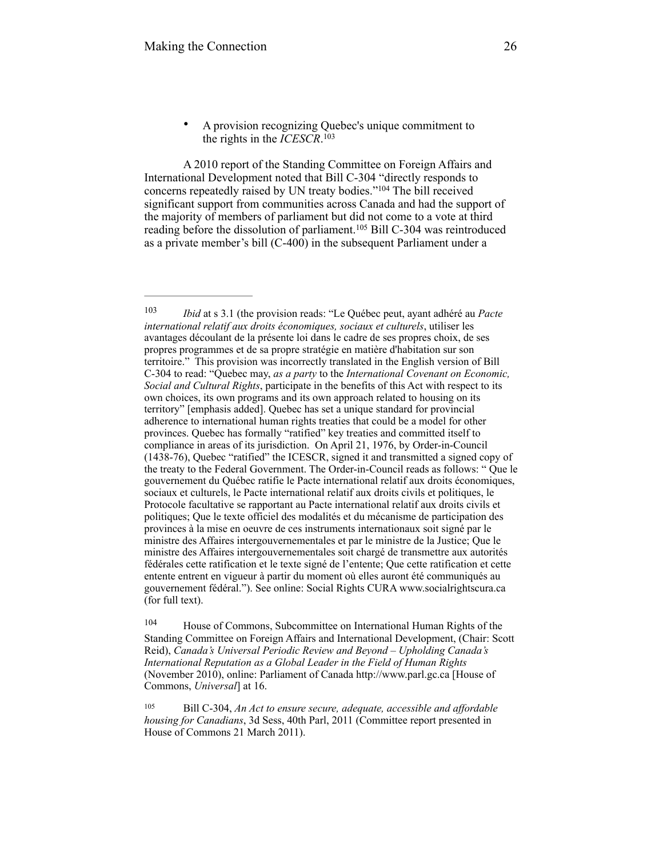A 2010 report of the Standing Committee on Foreign Affairs and International Development noted that Bill C-304 "directly responds to concerns repeatedly raised by UN treaty bodies."<sup>104</sup> The bill received significant support from communities across Canada and had the support of the majority of members of parliament but did not come to a vote at third reading before the dissolution of parliament.<sup>105</sup> Bill C-304 was reintroduced as a private member's bill (C-400) in the subsequent Parliament under a

<sup>104</sup> House of Commons, Subcommittee on International Human Rights of the Standing Committee on Foreign Affairs and International Development, (Chair: Scott Reid), *Canada's Universal Periodic Review and Beyond – Upholding Canada's International Reputation as a Global Leader in the Field of Human Rights* (November 2010), online: Parliament of Canada [http://www.parl.gc.ca](http://www.parl.gc.ca/) [House of Commons, *Universal*] at 16.

<sup>105</sup> Bill C-304, *An Act to ensure secure, adequate, accessible and affordable housing for Canadians*, 3d Sess, 40th Parl, 2011 (Committee report presented in House of Commons 21 March 2011).

<sup>•</sup> A provision recognizing Quebec's unique commitment to the rights in the *ICESCR*. 103

*Ibid* at s 3.1 (the provision reads: "Le Québec peut, ayant adhéré au *Pacte international relatif aux droits économiques, sociaux et culturels*, utiliser les avantages découlant de la présente loi dans le cadre de ses propres choix, de ses propres programmes et de sa propre stratégie en matière d'habitation sur son territoire." This provision was incorrectly translated in the English version of Bill C-304 to read: "Quebec may, *as a party* to the *International Covenant on Economic, Social and Cultural Rights*, participate in the benefits of this Act with respect to its own choices, its own programs and its own approach related to housing on its territory" [emphasis added]. Quebec has set a unique standard for provincial adherence to international human rights treaties that could be a model for other provinces. Quebec has formally "ratified" key treaties and committed itself to compliance in areas of its jurisdiction. On April 21, 1976, by Order-in-Council (1438-76), Quebec "ratified" the ICESCR, signed it and transmitted a signed copy of the treaty to the Federal Government. The Order-in-Council reads as follows: " Que le gouvernement du Québec ratifie le Pacte international relatif aux droits économiques, sociaux et culturels, le Pacte international relatif aux droits civils et politiques, le Protocole facultative se rapportant au Pacte international relatif aux droits civils et politiques; Que le texte officiel des modalités et du mécanisme de participation des provinces à la mise en oeuvre de ces instruments internationaux soit signé par le ministre des Affaires intergouvernementales et par le ministre de la Justice; Que le ministre des Affaires intergouvernementales soit chargé de transmettre aux autorités fédérales cette ratification et le texte signé de l'entente; Que cette ratification et cette entente entrent en vigueur à partir du moment où elles auront été communiqués au gouvernement fédéral."). See online: Social Rights CURA www.socialrightscura.ca (for full text).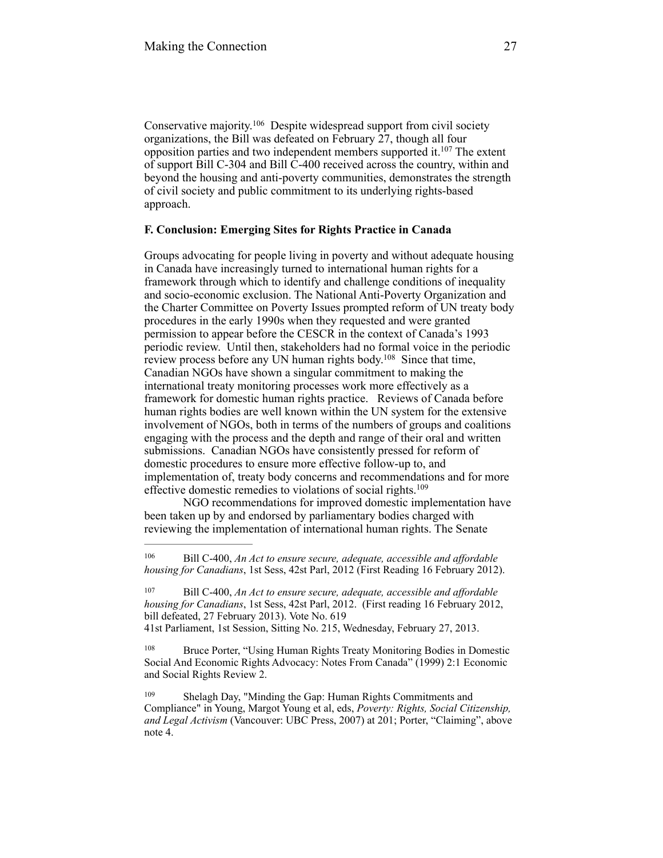Conservative majority.<sup>106</sup> Despite widespread support from civil society organizations, the Bill was defeated on February 27, though all four opposition parties and two independent members supported it.<sup>107</sup> The extent of support Bill C-304 and Bill C-400 received across the country, within and beyond the housing and anti-poverty communities, demonstrates the strength of civil society and public commitment to its underlying rights-based approach.

# **F. Conclusion: Emerging Sites for Rights Practice in Canada**

Groups advocating for people living in poverty and without adequate housing in Canada have increasingly turned to international human rights for a framework through which to identify and challenge conditions of inequality and socio-economic exclusion. The National Anti-Poverty Organization and the Charter Committee on Poverty Issues prompted reform of UN treaty body procedures in the early 1990s when they requested and were granted permission to appear before the CESCR in the context of Canada's 1993 periodic review. Until then, stakeholders had no formal voice in the periodic review process before any UN human rights body.<sup>108</sup> Since that time, Canadian NGOs have shown a singular commitment to making the international treaty monitoring processes work more effectively as a framework for domestic human rights practice. Reviews of Canada before human rights bodies are well known within the UN system for the extensive involvement of NGOs, both in terms of the numbers of groups and coalitions engaging with the process and the depth and range of their oral and written submissions. Canadian NGOs have consistently pressed for reform of domestic procedures to ensure more effective follow-up to, and implementation of, treaty body concerns and recommendations and for more effective domestic remedies to violations of social rights. 109

NGO recommendations for improved domestic implementation have been taken up by and endorsed by parliamentary bodies charged with reviewing the implementation of international human rights. The Senate

<sup>108</sup> Bruce Porter, "Using Human Rights Treaty Monitoring Bodies in Domestic Social And Economic Rights Advocacy: Notes From Canada" (1999) 2:1 Economic and Social Rights Review 2.

Bill C-400, *An Act to ensure secure, adequate, accessible and affordable* <sup>106</sup> *housing for Canadians*, 1st Sess, 42st Parl, 2012 (First Reading 16 February 2012).

Bill C-400, *An Act to ensure secure, adequate, accessible and affordable* <sup>107</sup> *housing for Canadians*, 1st Sess, 42st Parl, 2012. (First reading 16 February 2012, bill defeated, 27 February 2013). Vote No. 619

<sup>41</sup>st Parliament, 1st Session, Sitting No. 215, Wednesday, February 27, 2013.

Shelagh Day, "Minding the Gap: Human Rights Commitments and 109 Compliance" in Young, Margot Young et al, eds, *Poverty: Rights, Social Citizenship, and Legal Activism* (Vancouver: UBC Press, 2007) at 201; Porter, "Claiming", above note 4.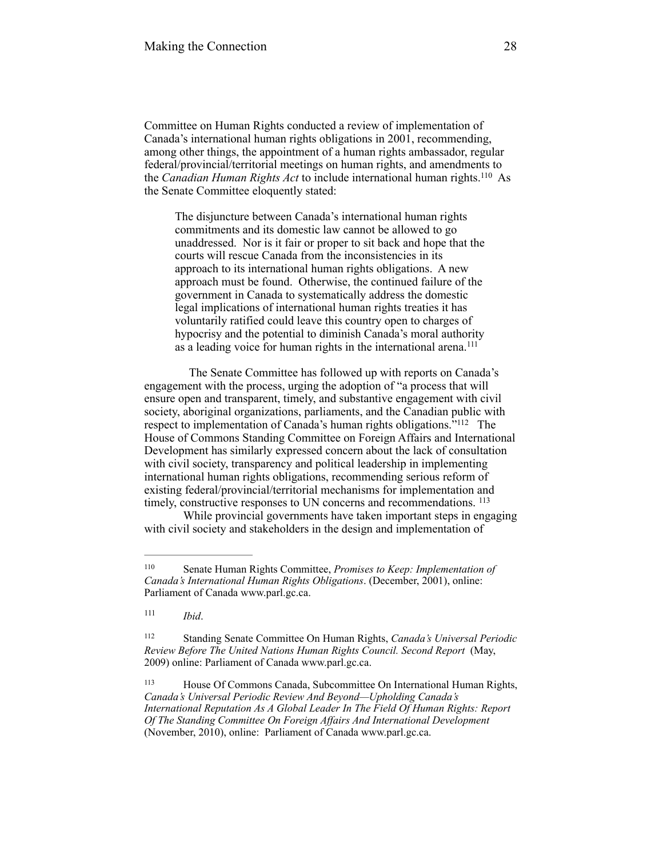Committee on Human Rights conducted a review of implementation of Canada's international human rights obligations in 2001, recommending, among other things, the appointment of a human rights ambassador, regular federal/provincial/territorial meetings on human rights, and amendments to the *Canadian Human Rights Act* to include international human rights.<sup>110</sup> As the Senate Committee eloquently stated:

The disjuncture between Canada's international human rights commitments and its domestic law cannot be allowed to go unaddressed. Nor is it fair or proper to sit back and hope that the courts will rescue Canada from the inconsistencies in its approach to its international human rights obligations. A new approach must be found. Otherwise, the continued failure of the government in Canada to systematically address the domestic legal implications of international human rights treaties it has voluntarily ratified could leave this country open to charges of hypocrisy and the potential to diminish Canada's moral authority as a leading voice for human rights in the international arena.<sup>111</sup>

 The Senate Committee has followed up with reports on Canada's engagement with the process, urging the adoption of "a process that will ensure open and transparent, timely, and substantive engagement with civil society, aboriginal organizations, parliaments, and the Canadian public with respect to implementation of Canada's human rights obligations."<sup>112</sup> The House of Commons Standing Committee on Foreign Affairs and International Development has similarly expressed concern about the lack of consultation with civil society, transparency and political leadership in implementing international human rights obligations, recommending serious reform of existing federal/provincial/territorial mechanisms for implementation and timely, constructive responses to UN concerns and recommendations. <sup>113</sup>

While provincial governments have taken important steps in engaging with civil society and stakeholders in the design and implementation of

*Ibid*. <sup>111</sup>

Senate Human Rights Committee, *Promises to Keep: Implementation of* <sup>110</sup> *Canada's International Human Rights Obligations*. (December, 2001), online: Parliament of Canada [www.parl.gc.ca.](http://www.parl.gc.ca)

Standing Senate Committee On Human Rights, *Canada's Universal Periodic* <sup>112</sup> *Review Before The United Nations Human Rights Council. Second Report* (May, 2009) online: Parliament of Canada [www.parl.gc.ca.](http://www.parl.gc.ca)

House Of Commons Canada, Subcommittee On International Human Rights, <sup>113</sup> *Canada's Universal Periodic Review And Beyond—Upholding Canada's International Reputation As A Global Leader In The Field Of Human Rights: Report Of The Standing Committee On Foreign Affairs And International Development* (November, 2010), online: Parliament of Canada [www.parl.gc.ca.](http://www.parl.gc.ca)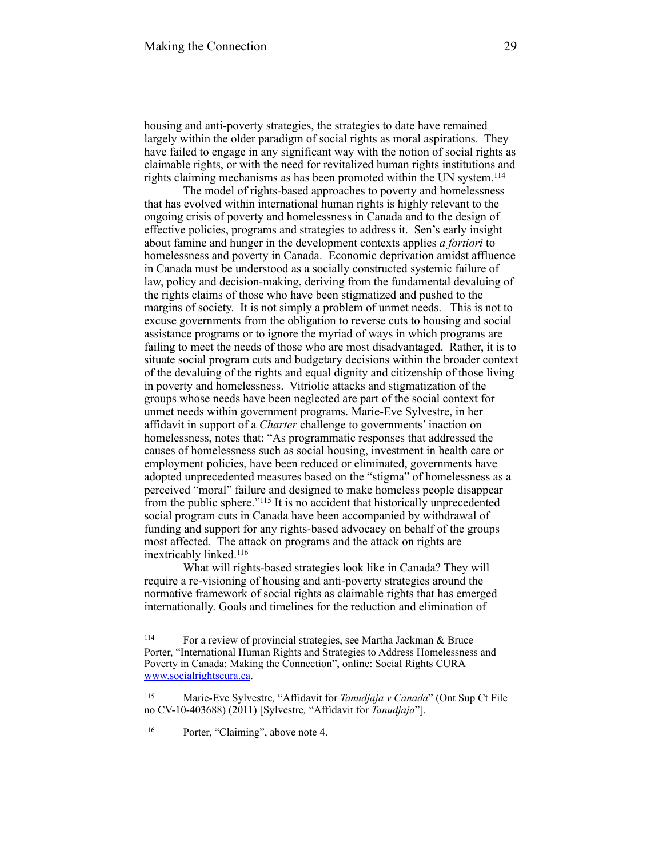housing and anti-poverty strategies, the strategies to date have remained largely within the older paradigm of social rights as moral aspirations. They have failed to engage in any significant way with the notion of social rights as claimable rights, or with the need for revitalized human rights institutions and rights claiming mechanisms as has been promoted within the UN system. 114

The model of rights-based approaches to poverty and homelessness that has evolved within international human rights is highly relevant to the ongoing crisis of poverty and homelessness in Canada and to the design of effective policies, programs and strategies to address it. Sen's early insight about famine and hunger in the development contexts applies *a fortiori* to homelessness and poverty in Canada. Economic deprivation amidst affluence in Canada must be understood as a socially constructed systemic failure of law, policy and decision-making, deriving from the fundamental devaluing of the rights claims of those who have been stigmatized and pushed to the margins of society. It is not simply a problem of unmet needs. This is not to excuse governments from the obligation to reverse cuts to housing and social assistance programs or to ignore the myriad of ways in which programs are failing to meet the needs of those who are most disadvantaged. Rather, it is to situate social program cuts and budgetary decisions within the broader context of the devaluing of the rights and equal dignity and citizenship of those living in poverty and homelessness. Vitriolic attacks and stigmatization of the groups whose needs have been neglected are part of the social context for unmet needs within government programs. Marie-Eve Sylvestre, in her affidavit in support of a *Charter* challenge to governments' inaction on homelessness, notes that: "As programmatic responses that addressed the causes of homelessness such as social housing, investment in health care or employment policies, have been reduced or eliminated, governments have adopted unprecedented measures based on the "stigma" of homelessness as a perceived "moral" failure and designed to make homeless people disappear from the public sphere."<sup>115</sup> It is no accident that historically unprecedented social program cuts in Canada have been accompanied by withdrawal of funding and support for any rights-based advocacy on behalf of the groups most affected. The attack on programs and the attack on rights are inextricably linked. 116

What will rights-based strategies look like in Canada? They will require a re-visioning of housing and anti-poverty strategies around the normative framework of social rights as claimable rights that has emerged internationally. Goals and timelines for the reduction and elimination of

<sup>&</sup>lt;sup>114</sup> For a review of provincial strategies, see Martha Jackman  $\&$  Bruce Porter, "International Human Rights and Strategies to Address Homelessness and Poverty in Canada: Making the Connection", online: Social Rights CURA [www.socialrightscura.ca](http://www.socialrightscura.ca).

<sup>115</sup> Marie-Eve Sylvestre, "Affidavit for *Tanudjaja v Canada*" (Ont Sup Ct File no CV-10-403688) (2011) [Sylvestre*,* "Affidavit for *Tanudjaja*"].

<sup>&</sup>lt;sup>116</sup> Porter, "Claiming", above note 4.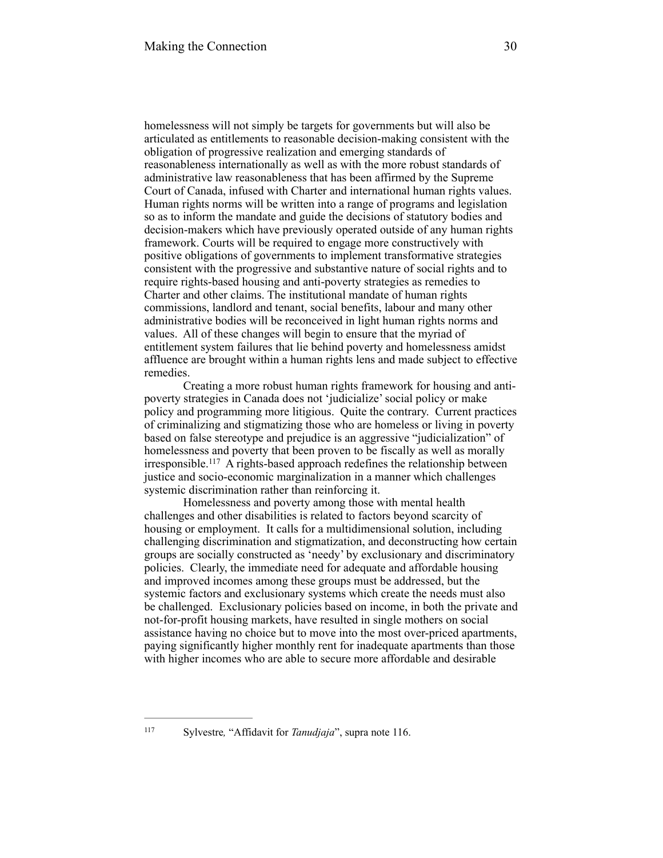homelessness will not simply be targets for governments but will also be articulated as entitlements to reasonable decision-making consistent with the obligation of progressive realization and emerging standards of reasonableness internationally as well as with the more robust standards of administrative law reasonableness that has been affirmed by the Supreme Court of Canada, infused with Charter and international human rights values. Human rights norms will be written into a range of programs and legislation so as to inform the mandate and guide the decisions of statutory bodies and decision-makers which have previously operated outside of any human rights framework. Courts will be required to engage more constructively with positive obligations of governments to implement transformative strategies consistent with the progressive and substantive nature of social rights and to require rights-based housing and anti-poverty strategies as remedies to Charter and other claims. The institutional mandate of human rights commissions, landlord and tenant, social benefits, labour and many other administrative bodies will be reconceived in light human rights norms and values. All of these changes will begin to ensure that the myriad of entitlement system failures that lie behind poverty and homelessness amidst affluence are brought within a human rights lens and made subject to effective remedies.

Creating a more robust human rights framework for housing and antipoverty strategies in Canada does not 'judicialize' social policy or make policy and programming more litigious. Quite the contrary. Current practices of criminalizing and stigmatizing those who are homeless or living in poverty based on false stereotype and prejudice is an aggressive "judicialization" of homelessness and poverty that been proven to be fiscally as well as morally irresponsible.<sup>117</sup> A rights-based approach redefines the relationship between justice and socio-economic marginalization in a manner which challenges systemic discrimination rather than reinforcing it.

Homelessness and poverty among those with mental health challenges and other disabilities is related to factors beyond scarcity of housing or employment. It calls for a multidimensional solution, including challenging discrimination and stigmatization, and deconstructing how certain groups are socially constructed as 'needy' by exclusionary and discriminatory policies. Clearly, the immediate need for adequate and affordable housing and improved incomes among these groups must be addressed, but the systemic factors and exclusionary systems which create the needs must also be challenged. Exclusionary policies based on income, in both the private and not-for-profit housing markets, have resulted in single mothers on social assistance having no choice but to move into the most over-priced apartments, paying significantly higher monthly rent for inadequate apartments than those with higher incomes who are able to secure more affordable and desirable

<sup>117</sup> Sylvestre, "Affidavit for *Tanudjaja*", supra note 116.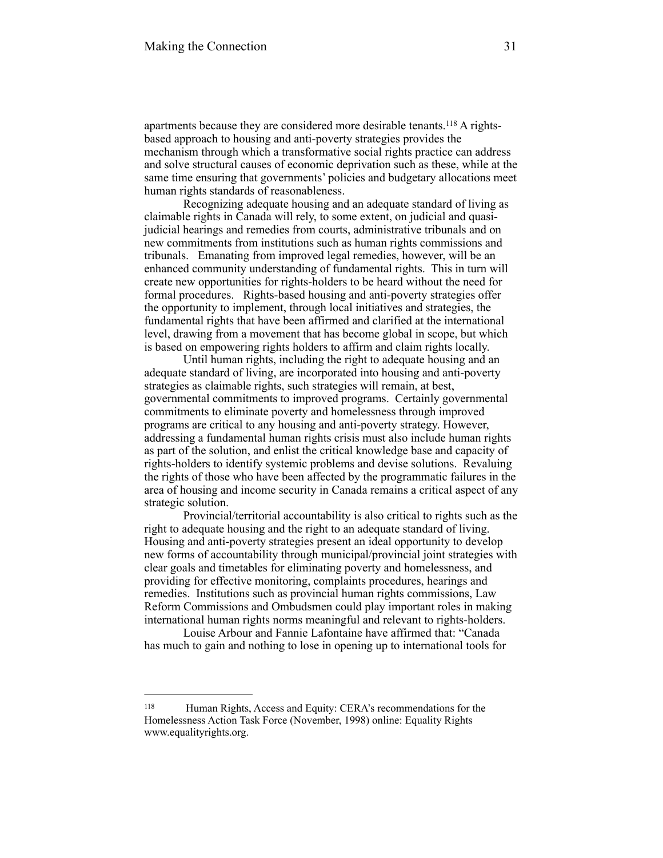apartments because they are considered more desirable tenants.  $118$  A rightsbased approach to housing and anti-poverty strategies provides the mechanism through which a transformative social rights practice can address and solve structural causes of economic deprivation such as these, while at the same time ensuring that governments' policies and budgetary allocations meet human rights standards of reasonableness.

Recognizing adequate housing and an adequate standard of living as claimable rights in Canada will rely, to some extent, on judicial and quasijudicial hearings and remedies from courts, administrative tribunals and on new commitments from institutions such as human rights commissions and tribunals. Emanating from improved legal remedies, however, will be an enhanced community understanding of fundamental rights. This in turn will create new opportunities for rights-holders to be heard without the need for formal procedures. Rights-based housing and anti-poverty strategies offer the opportunity to implement, through local initiatives and strategies, the fundamental rights that have been affirmed and clarified at the international level, drawing from a movement that has become global in scope, but which is based on empowering rights holders to affirm and claim rights locally.

Until human rights, including the right to adequate housing and an adequate standard of living, are incorporated into housing and anti-poverty strategies as claimable rights, such strategies will remain, at best, governmental commitments to improved programs. Certainly governmental commitments to eliminate poverty and homelessness through improved programs are critical to any housing and anti-poverty strategy. However, addressing a fundamental human rights crisis must also include human rights as part of the solution, and enlist the critical knowledge base and capacity of rights-holders to identify systemic problems and devise solutions. Revaluing the rights of those who have been affected by the programmatic failures in the area of housing and income security in Canada remains a critical aspect of any strategic solution.

Provincial/territorial accountability is also critical to rights such as the right to adequate housing and the right to an adequate standard of living. Housing and anti-poverty strategies present an ideal opportunity to develop new forms of accountability through municipal/provincial joint strategies with clear goals and timetables for eliminating poverty and homelessness, and providing for effective monitoring, complaints procedures, hearings and remedies. Institutions such as provincial human rights commissions, Law Reform Commissions and Ombudsmen could play important roles in making international human rights norms meaningful and relevant to rights-holders.

Louise Arbour and Fannie Lafontaine have affirmed that: "Canada has much to gain and nothing to lose in opening up to international tools for

<sup>&</sup>lt;sup>118</sup> Human Rights, Access and Equity: CERA's recommendations for the Homelessness Action Task Force (November, 1998) online: Equality Rights www.equalityrights.org.